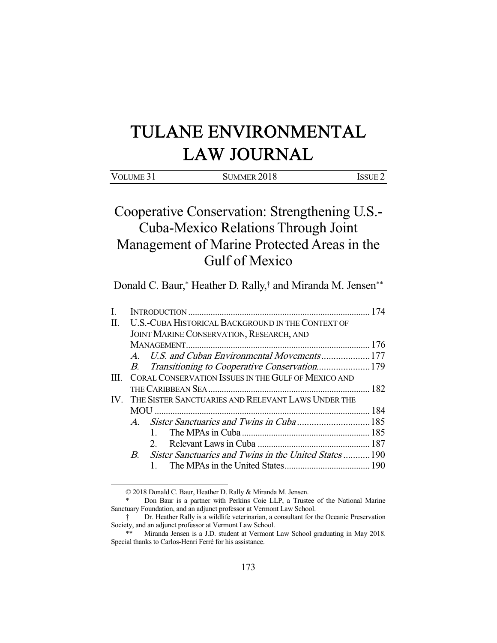# TULANE ENVIRONMENTAL LAW JOURNAL

| VOLUME 31 | SUMMER 2018 | ISSUE 2 |
|-----------|-------------|---------|
|           |             |         |
|           |             |         |

# Cooperative Conservation: Strengthening U.S.- Cuba-Mexico Relations Through Joint Management of Marine Protected Areas in the Gulf of Mexico

Donald C. Baur,\* Heather D. Rally,† and Miranda M. Jensen\*\*

| I. |                                                        |                                                         |  |  |
|----|--------------------------------------------------------|---------------------------------------------------------|--|--|
| П. | U.S.-CUBA HISTORICAL BACKGROUND IN THE CONTEXT OF      |                                                         |  |  |
|    | <b>JOINT MARINE CONSERVATION, RESEARCH, AND</b>        |                                                         |  |  |
|    |                                                        |                                                         |  |  |
|    |                                                        | A. U.S. and Cuban Environmental Movements177            |  |  |
|    |                                                        | B. Transitioning to Cooperative Conservation179         |  |  |
| Ш  |                                                        | CORAL CONSERVATION ISSUES IN THE GULF OF MEXICO AND     |  |  |
|    |                                                        |                                                         |  |  |
|    | IV. THE SISTER SANCTUARIES AND RELEVANT LAWS UNDER THE |                                                         |  |  |
|    |                                                        |                                                         |  |  |
|    |                                                        |                                                         |  |  |
|    |                                                        |                                                         |  |  |
|    |                                                        | $\mathcal{D}$                                           |  |  |
|    |                                                        | B. Sister Sanctuaries and Twins in the United States190 |  |  |
|    |                                                        |                                                         |  |  |

© 2018 Donald C. Baur, Heather D. Rally & Miranda M. Jensen.

Don Baur is a partner with Perkins Coie LLP, a Trustee of the National Marine Sanctuary Foundation, and an adjunct professor at Vermont Law School.

 <sup>†</sup> Dr. Heather Rally is a wildlife veterinarian, a consultant for the Oceanic Preservation Society, and an adjunct professor at Vermont Law School.

 <sup>\*\*</sup> Miranda Jensen is a J.D. student at Vermont Law School graduating in May 2018. Special thanks to Carlos-Henri Ferré for his assistance.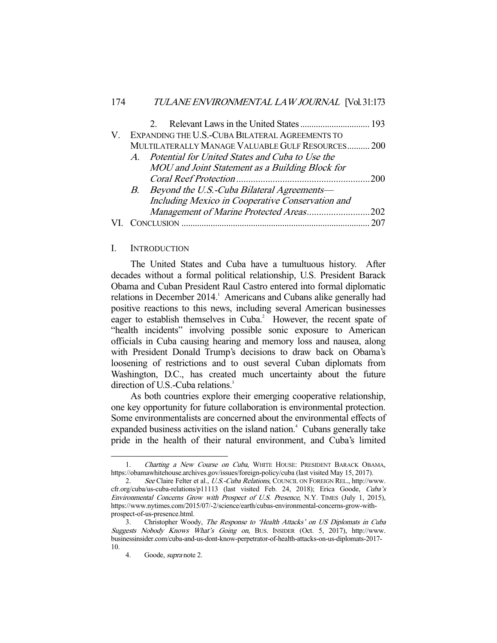|  | V. EXPANDING THE U.S.-CUBA BILATERAL AGREEMENTS TO |     |
|--|----------------------------------------------------|-----|
|  | MULTILATERALLY MANAGE VALUABLE GULF RESOURCES 200  |     |
|  | A. Potential for United States and Cuba to Use the |     |
|  | MOU and Joint Statement as a Building Block for    |     |
|  |                                                    |     |
|  | B. Beyond the U.S.-Cuba Bilateral Agreements-      |     |
|  | Including Mexico in Cooperative Conservation and   |     |
|  | Management of Marine Protected Areas202            |     |
|  |                                                    | 207 |
|  |                                                    |     |

#### I. INTRODUCTION

 The United States and Cuba have a tumultuous history. After decades without a formal political relationship, U.S. President Barack Obama and Cuban President Raul Castro entered into formal diplomatic relations in December 2014.<sup>1</sup> Americans and Cubans alike generally had positive reactions to this news, including several American businesses eager to establish themselves in Cuba.<sup>2</sup> However, the recent spate of "health incidents" involving possible sonic exposure to American officials in Cuba causing hearing and memory loss and nausea, along with President Donald Trump's decisions to draw back on Obama's loosening of restrictions and to oust several Cuban diplomats from Washington, D.C., has created much uncertainty about the future direction of U.S.-Cuba relations.<sup>3</sup>

 As both countries explore their emerging cooperative relationship, one key opportunity for future collaboration is environmental protection. Some environmentalists are concerned about the environmental effects of expanded business activities on the island nation.<sup>4</sup> Cubans generally take pride in the health of their natural environment, and Cuba's limited

<sup>1.</sup> Charting a New Course on Cuba, WHITE HOUSE: PRESIDENT BARACK OBAMA, https://obamawhitehouse.archives.gov/issues/foreign-policy/cuba (last visited May 15, 2017).

<sup>2.</sup> See Claire Felter et al., U.S.-Cuba Relations, COUNCIL ON FOREIGN REL., http://www. cfr.org/cuba/us-cuba-relations/p11113 (last visited Feb. 24, 2018); Erica Goode, Cuba's Environmental Concerns Grow with Prospect of U.S. Presence, N.Y. TIMES (July 1, 2015), https://www.nytimes.com/2015/07/-2/science/earth/cubas-environmental-concerns-grow-withprospect-of-us-presence.html.

 <sup>3.</sup> Christopher Woody, The Response to 'Health Attacks' on US Diplomats in Cuba Suggests Nobody Knows What's Going on, BUS. INSIDER (Oct. 5, 2017), http://www. businessinsider.com/cuba-and-us-dont-know-perpetrator-of-health-attacks-on-us-diplomats-2017- 10.

 <sup>4.</sup> Goode, supra note 2.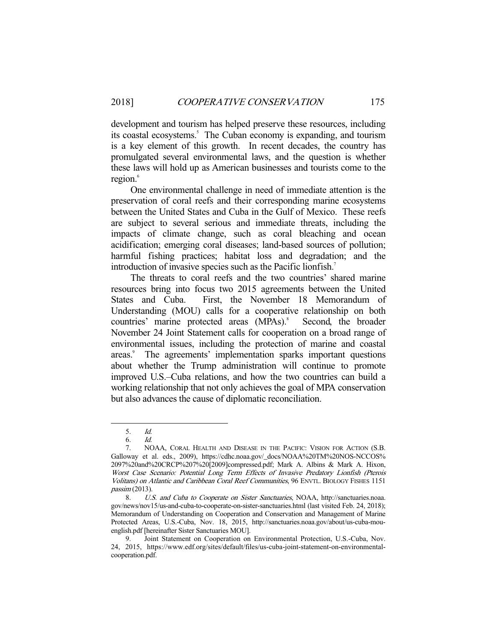development and tourism has helped preserve these resources, including its coastal ecosystems.<sup>5</sup> The Cuban economy is expanding, and tourism is a key element of this growth. In recent decades, the country has promulgated several environmental laws, and the question is whether these laws will hold up as American businesses and tourists come to the region.<sup>6</sup>

 One environmental challenge in need of immediate attention is the preservation of coral reefs and their corresponding marine ecosystems between the United States and Cuba in the Gulf of Mexico. These reefs are subject to several serious and immediate threats, including the impacts of climate change, such as coral bleaching and ocean acidification; emerging coral diseases; land-based sources of pollution; harmful fishing practices; habitat loss and degradation; and the introduction of invasive species such as the Pacific lionfish.<sup>7</sup>

 The threats to coral reefs and the two countries' shared marine resources bring into focus two 2015 agreements between the United States and Cuba. First, the November 18 Memorandum of Understanding (MOU) calls for a cooperative relationship on both countries' marine protected areas (MPAs).<sup>8</sup> Second, the broader November 24 Joint Statement calls for cooperation on a broad range of environmental issues, including the protection of marine and coastal areas.<sup>9</sup> The agreements' implementation sparks important questions about whether the Trump administration will continue to promote improved U.S.–Cuba relations, and how the two countries can build a working relationship that not only achieves the goal of MPA conservation but also advances the cause of diplomatic reconciliation.

 <sup>5.</sup> Id.

 <sup>6.</sup> Id.

 <sup>7.</sup> NOAA, CORAL HEALTH AND DISEASE IN THE PACIFIC: VISION FOR ACTION (S.B. Galloway et al. eds., 2009), https://cdhc.noaa.gov/\_docs/NOAA%20TM%20NOS-NCCOS% 2097%20and%20CRCP%207%20[2009]compressed.pdf; Mark A. Albins & Mark A. Hixon, Worst Case Scenario: Potential Long Term Effects of Invasive Predatory Lionfish (Pterois Volitans) on Atlantic and Caribbean Coral Reef Communities, 96 ENVTL. BIOLOGY FISHES 1151 passim (2013).

 <sup>8.</sup> U.S. and Cuba to Cooperate on Sister Sanctuaries, NOAA, http://sanctuaries.noaa. gov/news/nov15/us-and-cuba-to-cooperate-on-sister-sanctuaries.html (last visited Feb. 24, 2018); Memorandum of Understanding on Cooperation and Conservation and Management of Marine Protected Areas, U.S.-Cuba, Nov. 18, 2015, http://sanctuaries.noaa.gov/about/us-cuba-mouenglish.pdf [hereinafter Sister Sanctuaries MOU].

Joint Statement on Cooperation on Environmental Protection, U.S.-Cuba, Nov. 24, 2015, https://www.edf.org/sites/default/files/us-cuba-joint-statement-on-environmentalcooperation.pdf.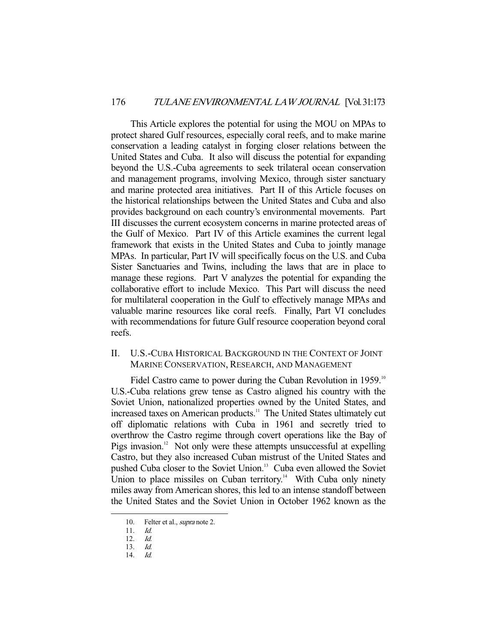This Article explores the potential for using the MOU on MPAs to protect shared Gulf resources, especially coral reefs, and to make marine conservation a leading catalyst in forging closer relations between the United States and Cuba. It also will discuss the potential for expanding beyond the U.S.-Cuba agreements to seek trilateral ocean conservation and management programs, involving Mexico, through sister sanctuary and marine protected area initiatives. Part II of this Article focuses on the historical relationships between the United States and Cuba and also provides background on each country's environmental movements. Part III discusses the current ecosystem concerns in marine protected areas of the Gulf of Mexico. Part IV of this Article examines the current legal framework that exists in the United States and Cuba to jointly manage MPAs. In particular, Part IV will specifically focus on the U.S. and Cuba Sister Sanctuaries and Twins, including the laws that are in place to manage these regions. Part V analyzes the potential for expanding the collaborative effort to include Mexico. This Part will discuss the need for multilateral cooperation in the Gulf to effectively manage MPAs and valuable marine resources like coral reefs. Finally, Part VI concludes with recommendations for future Gulf resource cooperation beyond coral reefs.

II. U.S.-CUBA HISTORICAL BACKGROUND IN THE CONTEXT OF JOINT MARINE CONSERVATION, RESEARCH, AND MANAGEMENT

Fidel Castro came to power during the Cuban Revolution in 1959.<sup>10</sup> U.S.-Cuba relations grew tense as Castro aligned his country with the Soviet Union, nationalized properties owned by the United States, and increased taxes on American products.<sup>11</sup> The United States ultimately cut off diplomatic relations with Cuba in 1961 and secretly tried to overthrow the Castro regime through covert operations like the Bay of Pigs invasion.<sup>12</sup> Not only were these attempts unsuccessful at expelling Castro, but they also increased Cuban mistrust of the United States and pushed Cuba closer to the Soviet Union.<sup>13</sup> Cuba even allowed the Soviet Union to place missiles on Cuban territory.<sup>14</sup> With Cuba only ninety miles away from American shores, this led to an intense standoff between the United States and the Soviet Union in October 1962 known as the

<sup>10.</sup> Felter et al., supra note 2.

 <sup>11.</sup> Id.

 <sup>12.</sup> Id.

 <sup>13.</sup> Id.

 <sup>14.</sup> Id.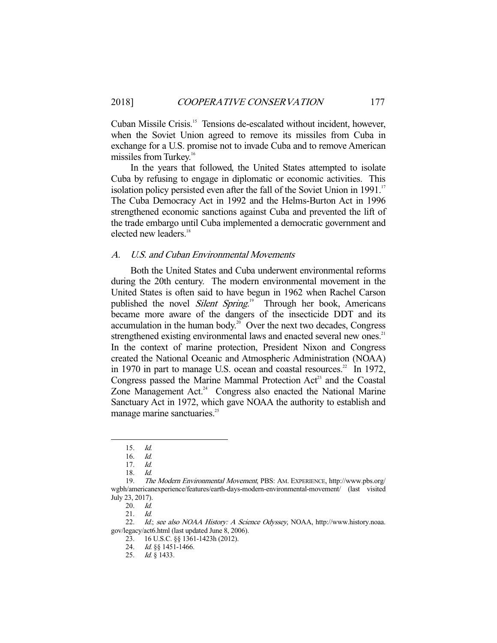Cuban Missile Crisis.15 Tensions de-escalated without incident, however, when the Soviet Union agreed to remove its missiles from Cuba in exchange for a U.S. promise not to invade Cuba and to remove American missiles from Turkey.<sup>16</sup>

 In the years that followed, the United States attempted to isolate Cuba by refusing to engage in diplomatic or economic activities. This isolation policy persisted even after the fall of the Soviet Union in  $1991$ .<sup>17</sup> The Cuba Democracy Act in 1992 and the Helms-Burton Act in 1996 strengthened economic sanctions against Cuba and prevented the lift of the trade embargo until Cuba implemented a democratic government and elected new leaders.<sup>18</sup>

#### A. U.S. and Cuban Environmental Movements

 Both the United States and Cuba underwent environmental reforms during the 20th century. The modern environmental movement in the United States is often said to have begun in 1962 when Rachel Carson published the novel *Silent Spring*.<sup>19</sup> Through her book, Americans became more aware of the dangers of the insecticide DDT and its accumulation in the human body. $20$  Over the next two decades, Congress strengthened existing environmental laws and enacted several new ones.<sup>21</sup> In the context of marine protection, President Nixon and Congress created the National Oceanic and Atmospheric Administration (NOAA) in 1970 in part to manage U.S. ocean and coastal resources.<sup>22</sup> In 1972, Congress passed the Marine Mammal Protection Act<sup>23</sup> and the Coastal Zone Management Act.<sup>24</sup> Congress also enacted the National Marine Sanctuary Act in 1972, which gave NOAA the authority to establish and manage marine sanctuaries.<sup>25</sup>

 <sup>15.</sup> Id.

 <sup>16.</sup> Id.

 <sup>17.</sup> Id.

 <sup>18.</sup> Id.

<sup>19.</sup> The Modern Environmental Movement, PBS: AM. EXPERIENCE, http://www.pbs.org/ wgbh/americanexperience/features/earth-days-modern-environmental-movement/ (last visited July 23, 2017).

 <sup>20.</sup> Id.

 <sup>21.</sup> Id.

<sup>22.</sup> Id.; see also NOAA History: A Science Odyssey, NOAA, http://www.history.noaa. gov/legacy/act6.html (last updated June 8, 2006).

 <sup>23. 16</sup> U.S.C. §§ 1361-1423h (2012).

 <sup>24.</sup> Id. §§ 1451-1466.

<sup>25.</sup> *Id.* § 1433.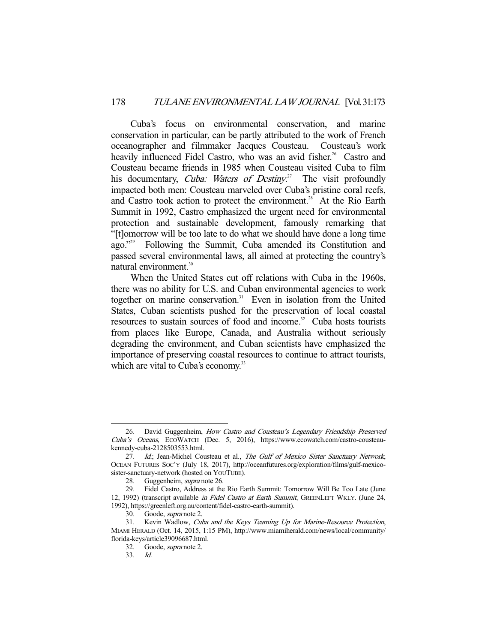Cuba's focus on environmental conservation, and marine conservation in particular, can be partly attributed to the work of French oceanographer and filmmaker Jacques Cousteau. Cousteau's work heavily influenced Fidel Castro, who was an avid fisher.<sup>26</sup> Castro and Cousteau became friends in 1985 when Cousteau visited Cuba to film his documentary, *Cuba: Waters of Destiny*.<sup>27</sup> The visit profoundly impacted both men: Cousteau marveled over Cuba's pristine coral reefs, and Castro took action to protect the environment.<sup>28</sup> At the Rio Earth Summit in 1992, Castro emphasized the urgent need for environmental protection and sustainable development, famously remarking that "[t]omorrow will be too late to do what we should have done a long time ago."<sup>29</sup> Following the Summit, Cuba amended its Constitution and passed several environmental laws, all aimed at protecting the country's natural environment.<sup>30</sup>

 When the United States cut off relations with Cuba in the 1960s, there was no ability for U.S. and Cuban environmental agencies to work together on marine conservation.<sup>31</sup> Even in isolation from the United States, Cuban scientists pushed for the preservation of local coastal resources to sustain sources of food and income.<sup>32</sup> Cuba hosts tourists from places like Europe, Canada, and Australia without seriously degrading the environment, and Cuban scientists have emphasized the importance of preserving coastal resources to continue to attract tourists, which are vital to Cuba's economy.<sup>33</sup>

<sup>26.</sup> David Guggenheim, How Castro and Cousteau's Legendary Friendship Preserved Cuba's Oceans, ECOWATCH (Dec. 5, 2016), https://www.ecowatch.com/castro-cousteaukennedy-cuba-2128503553.html.

<sup>27.</sup> Id.; Jean-Michel Cousteau et al., The Gulf of Mexico Sister Sanctuary Network, OCEAN FUTURES SOC'Y (July 18, 2017), http://oceanfutures.org/exploration/films/gulf-mexicosister-sanctuary-network (hosted on YOUTUBE).

 <sup>28.</sup> Guggenheim, supra note 26.

 <sup>29.</sup> Fidel Castro, Address at the Rio Earth Summit: Tomorrow Will Be Too Late (June 12, 1992) (transcript available in Fidel Castro at Earth Summit, GREENLEFT WKLY. (June 24, 1992), https://greenleft.org.au/content/fidel-castro-earth-summit).

<sup>30.</sup> Goode, *supra* note 2.

 <sup>31.</sup> Kevin Wadlow, Cuba and the Keys Teaming Up for Marine-Resource Protection, MIAMI HERALD (Oct. 14, 2015, 1:15 PM), http://www.miamiherald.com/news/local/community/ florida-keys/article39096687.html.

 <sup>32.</sup> Goode, supra note 2.

 <sup>33.</sup> Id.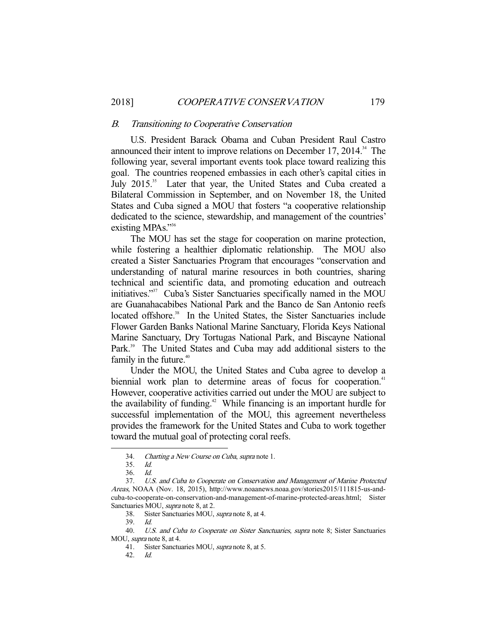#### B. Transitioning to Cooperative Conservation

 U.S. President Barack Obama and Cuban President Raul Castro announced their intent to improve relations on December 17, 2014. $^{34}$  The following year, several important events took place toward realizing this goal. The countries reopened embassies in each other's capital cities in July 2015.<sup>35</sup> Later that year, the United States and Cuba created a Bilateral Commission in September, and on November 18, the United States and Cuba signed a MOU that fosters "a cooperative relationship dedicated to the science, stewardship, and management of the countries' existing MPAs."<sup>36</sup>

 The MOU has set the stage for cooperation on marine protection, while fostering a healthier diplomatic relationship. The MOU also created a Sister Sanctuaries Program that encourages "conservation and understanding of natural marine resources in both countries, sharing technical and scientific data, and promoting education and outreach initiatives."37 Cuba's Sister Sanctuaries specifically named in the MOU are Guanahacabibes National Park and the Banco de San Antonio reefs located offshore.<sup>38</sup> In the United States, the Sister Sanctuaries include Flower Garden Banks National Marine Sanctuary, Florida Keys National Marine Sanctuary, Dry Tortugas National Park, and Biscayne National Park.<sup>39</sup> The United States and Cuba may add additional sisters to the family in the future.<sup>40</sup>

 Under the MOU, the United States and Cuba agree to develop a biennial work plan to determine areas of focus for cooperation.<sup>41</sup> However, cooperative activities carried out under the MOU are subject to the availability of funding.<sup>42</sup> While financing is an important hurdle for successful implementation of the MOU, this agreement nevertheless provides the framework for the United States and Cuba to work together toward the mutual goal of protecting coral reefs.

 <sup>34.</sup> Charting a New Course on Cuba, supra note 1.

 <sup>35.</sup> Id.

 <sup>36.</sup> Id.

 <sup>37.</sup> U.S. and Cuba to Cooperate on Conservation and Management of Marine Protected Areas, NOAA (Nov. 18, 2015), http://www.noaanews.noaa.gov/stories2015/111815-us-andcuba-to-cooperate-on-conservation-and-management-of-marine-protected-areas.html; Sister Sanctuaries MOU, supra note 8, at 2.

 <sup>38.</sup> Sister Sanctuaries MOU, supra note 8, at 4.

 <sup>39.</sup> Id.

<sup>40.</sup> U.S. and Cuba to Cooperate on Sister Sanctuaries, supra note 8; Sister Sanctuaries MOU, supra note 8, at 4.

<sup>41.</sup> Sister Sanctuaries MOU, *supra* note 8, at 5.

 <sup>42.</sup> Id.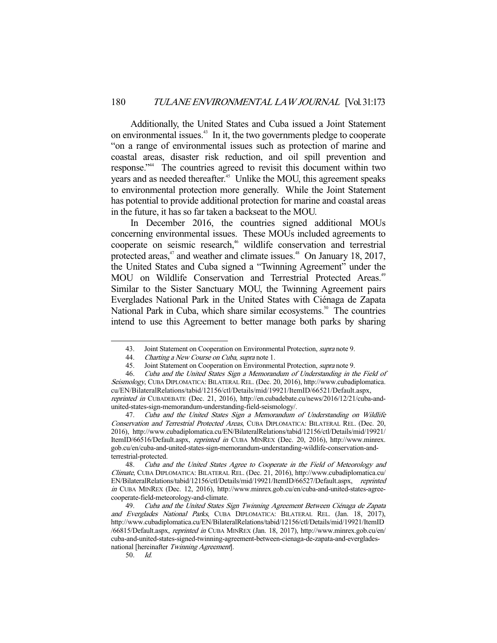Additionally, the United States and Cuba issued a Joint Statement on environmental issues.<sup>43</sup> In it, the two governments pledge to cooperate "on a range of environmental issues such as protection of marine and coastal areas, disaster risk reduction, and oil spill prevention and response."44 The countries agreed to revisit this document within two years and as needed thereafter.<sup>45</sup> Unlike the MOU, this agreement speaks to environmental protection more generally. While the Joint Statement has potential to provide additional protection for marine and coastal areas in the future, it has so far taken a backseat to the MOU.

 In December 2016, the countries signed additional MOUs concerning environmental issues. These MOUs included agreements to cooperate on seismic research,<sup>46</sup> wildlife conservation and terrestrial protected areas, $47$  and weather and climate issues. $48$  On January 18, 2017, the United States and Cuba signed a "Twinning Agreement" under the MOU on Wildlife Conservation and Terrestrial Protected Areas.<sup>49</sup> Similar to the Sister Sanctuary MOU, the Twinning Agreement pairs Everglades National Park in the United States with Ciénaga de Zapata National Park in Cuba, which share similar ecosystems.<sup>50</sup> The countries intend to use this Agreement to better manage both parks by sharing

<sup>43.</sup> Joint Statement on Cooperation on Environmental Protection, *supra* note 9.

<sup>44.</sup> *Charting a New Course on Cuba, supra* note 1.<br>45. Joint Statement on Cooperation on Environmer

<sup>45.</sup> Joint Statement on Cooperation on Environmental Protection, *supra* note 9.<br>46. Cuba and the United States Sign a Memorandum of Understanding in the Cuba and the United States Sign a Memorandum of Understanding in the Field of Seismology, CUBA DIPLOMATICA: BILATERAL REL. (Dec. 20, 2016), http://www.cubadiplomatica. cu/EN/BilateralRelations/tabid/12156/ctl/Details/mid/19921/ItemID/66521/Default.aspx, reprinted in CUBADEBATE (Dec. 21, 2016), http://en.cubadebate.cu/news/2016/12/21/cuba-andunited-states-sign-memorandum-understanding-field-seismology/.

 <sup>47.</sup> Cuba and the United States Sign a Memorandum of Understanding on Wildlife Conservation and Terrestrial Protected Areas, CUBA DIPLOMATICA: BILATERAL REL. (Dec. 20, 2016), http://www.cubadiplomatica.cu/EN/BilateralRelations/tabid/12156/ctl/Details/mid/19921/ ItemID/66516/Default.aspx, reprinted in CUBA MINREX (Dec. 20, 2016), http://www.minrex. gob.cu/en/cuba-and-united-states-sign-memorandum-understanding-wildlife-conservation-andterrestrial-protected.

 <sup>48.</sup> Cuba and the United States Agree to Cooperate in the Field of Meteorology and Climate, CUBA DIPLOMATICA: BILATERAL REL. (Dec. 21, 2016), http://www.cubadiplomatica.cu/ EN/BilateralRelations/tabid/12156/ctl/Details/mid/19921/ItemID/66527/Default.aspx, reprinted in CUBA MINREX (Dec. 12, 2016), http://www.minrex.gob.cu/en/cuba-and-united-states-agreecooperate-field-meteorology-and-climate.

 <sup>49.</sup> Cuba and the United States Sign Twinning Agreement Between Ciénaga de Zapata and Everglades National Parks, CUBA DIPLOMATICA: BILATERAL REL. (Jan. 18, 2017), http://www.cubadiplomatica.cu/EN/BilateralRelations/tabid/12156/ctl/Details/mid/19921/ItemID /66815/Default.aspx, reprinted in CUBA MINREX (Jan. 18, 2017), http://www.minrex.gob.cu/en/ cuba-and-united-states-signed-twinning-agreement-between-cienaga-de-zapata-and-evergladesnational [hereinafter Twinning Agreement].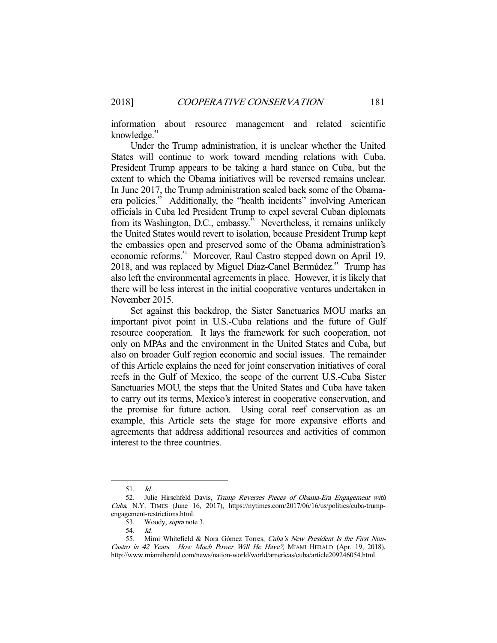information about resource management and related scientific knowledge.<sup>51</sup>

 Under the Trump administration, it is unclear whether the United States will continue to work toward mending relations with Cuba. President Trump appears to be taking a hard stance on Cuba, but the extent to which the Obama initiatives will be reversed remains unclear. In June 2017, the Trump administration scaled back some of the Obamaera policies.<sup>52</sup> Additionally, the "health incidents" involving American officials in Cuba led President Trump to expel several Cuban diplomats from its Washington, D.C., embassy.<sup>53</sup> Nevertheless, it remains unlikely the United States would revert to isolation, because President Trump kept the embassies open and preserved some of the Obama administration's economic reforms.<sup>54</sup> Moreover, Raul Castro stepped down on April 19, 2018, and was replaced by Miguel Díaz-Canel Bermúdez.<sup>55</sup> Trump has also left the environmental agreements in place. However, it is likely that there will be less interest in the initial cooperative ventures undertaken in November 2015.

 Set against this backdrop, the Sister Sanctuaries MOU marks an important pivot point in U.S.-Cuba relations and the future of Gulf resource cooperation. It lays the framework for such cooperation, not only on MPAs and the environment in the United States and Cuba, but also on broader Gulf region economic and social issues. The remainder of this Article explains the need for joint conservation initiatives of coral reefs in the Gulf of Mexico, the scope of the current U.S.-Cuba Sister Sanctuaries MOU, the steps that the United States and Cuba have taken to carry out its terms, Mexico's interest in cooperative conservation, and the promise for future action. Using coral reef conservation as an example, this Article sets the stage for more expansive efforts and agreements that address additional resources and activities of common interest to the three countries.

 <sup>51.</sup> Id.

<sup>52.</sup> Julie Hirschfeld Davis, Trump Reverses Pieces of Obama-Era Engagement with Cuba, N.Y. TIMES (June 16, 2017), https://nytimes.com/2017/06/16/us/politics/cuba-trumpengagement-restrictions.html.

<sup>53.</sup> Woody, *supra* note 3.

 <sup>54.</sup> Id.

<sup>55.</sup> Mimi Whitefield & Nora Gómez Torres, Cuba's New President Is the First Non-Castro in 42 Years. How Much Power Will He Have?, MIAMI HERALD (Apr. 19, 2018), http://www.miamiherald.com/news/nation-world/world/americas/cuba/article209246054.html.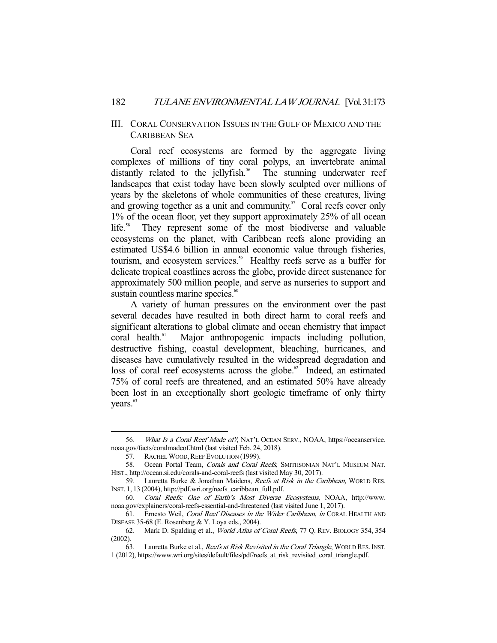## III. CORAL CONSERVATION ISSUES IN THE GULF OF MEXICO AND THE CARIBBEAN SEA

 Coral reef ecosystems are formed by the aggregate living complexes of millions of tiny coral polyps, an invertebrate animal distantly related to the jellyfish.<sup>56</sup> The stunning underwater reef landscapes that exist today have been slowly sculpted over millions of years by the skeletons of whole communities of these creatures, living and growing together as a unit and community.<sup>57</sup> Coral reefs cover only 1% of the ocean floor, yet they support approximately 25% of all ocean life.<sup>58</sup> They represent some of the most biodiverse and valuable ecosystems on the planet, with Caribbean reefs alone providing an estimated US\$4.6 billion in annual economic value through fisheries, tourism, and ecosystem services.<sup>59</sup> Healthy reefs serve as a buffer for delicate tropical coastlines across the globe, provide direct sustenance for approximately 500 million people, and serve as nurseries to support and sustain countless marine species.<sup>60</sup>

 A variety of human pressures on the environment over the past several decades have resulted in both direct harm to coral reefs and significant alterations to global climate and ocean chemistry that impact coral health.<sup>61</sup> Major anthropogenic impacts including pollution, destructive fishing, coastal development, bleaching, hurricanes, and diseases have cumulatively resulted in the widespread degradation and loss of coral reef ecosystems across the globe.<sup>62</sup> Indeed, an estimated 75% of coral reefs are threatened, and an estimated 50% have already been lost in an exceptionally short geologic timeframe of only thirty years.<sup>63</sup>

 <sup>56.</sup> What Is a Coral Reef Made of?, NAT'L OCEAN SERV., NOAA, https://oceanservice. noaa.gov/facts/coralmadeof.html (last visited Feb. 24, 2018).

<sup>57.</sup> RACHEL WOOD, REEF EVOLUTION (1999).

<sup>58.</sup> Ocean Portal Team, Corals and Coral Reefs, SMITHSONIAN NAT'L MUSEUM NAT. HIST., http://ocean.si.edu/corals-and-coral-reefs (last visited May 30, 2017).

 <sup>59.</sup> Lauretta Burke & Jonathan Maidens, Reefs at Risk in the Caribbean, WORLD RES. INST. 1, 13 (2004), http://pdf.wri.org/reefs\_caribbean\_full.pdf.

 <sup>60.</sup> Coral Reefs: One of Earth's Most Diverse Ecosystems, NOAA, http://www. noaa.gov/explainers/coral-reefs-essential-and-threatened (last visited June 1, 2017).

<sup>61.</sup> Ernesto Weil, Coral Reef Diseases in the Wider Caribbean, in CORAL HEALTH AND DISEASE 35-68 (E. Rosenberg & Y. Loya eds., 2004).

 <sup>62.</sup> Mark D. Spalding et al., World Atlas of Coral Reefs, 77 Q. REV. BIOLOGY 354, 354 (2002).

<sup>63.</sup> Lauretta Burke et al., *Reefs at Risk Revisited in the Coral Triangle*, WORLD RES. INST. 1 (2012), https://www.wri.org/sites/default/files/pdf/reefs\_at\_risk\_revisited\_coral\_triangle.pdf.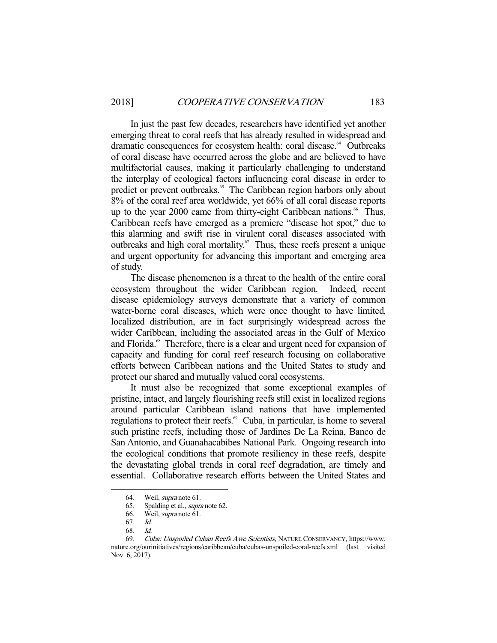In just the past few decades, researchers have identified yet another emerging threat to coral reefs that has already resulted in widespread and dramatic consequences for ecosystem health: coral disease.<sup>64</sup> Outbreaks of coral disease have occurred across the globe and are believed to have multifactorial causes, making it particularly challenging to understand the interplay of ecological factors influencing coral disease in order to predict or prevent outbreaks.<sup>65</sup> The Caribbean region harbors only about 8% of the coral reef area worldwide, yet 66% of all coral disease reports up to the year 2000 came from thirty-eight Caribbean nations.<sup>66</sup> Thus, Caribbean reefs have emerged as a premiere "disease hot spot," due to this alarming and swift rise in virulent coral diseases associated with outbreaks and high coral mortality.67 Thus, these reefs present a unique and urgent opportunity for advancing this important and emerging area of study.

 The disease phenomenon is a threat to the health of the entire coral ecosystem throughout the wider Caribbean region. Indeed, recent disease epidemiology surveys demonstrate that a variety of common water-borne coral diseases, which were once thought to have limited, localized distribution, are in fact surprisingly widespread across the wider Caribbean, including the associated areas in the Gulf of Mexico and Florida.<sup>68</sup> Therefore, there is a clear and urgent need for expansion of capacity and funding for coral reef research focusing on collaborative efforts between Caribbean nations and the United States to study and protect our shared and mutually valued coral ecosystems.

 It must also be recognized that some exceptional examples of pristine, intact, and largely flourishing reefs still exist in localized regions around particular Caribbean island nations that have implemented regulations to protect their reefs.<sup>69</sup> Cuba, in particular, is home to several such pristine reefs, including those of Jardines De La Reina, Banco de San Antonio, and Guanahacabibes National Park. Ongoing research into the ecological conditions that promote resiliency in these reefs, despite the devastating global trends in coral reef degradation, are timely and essential. Collaborative research efforts between the United States and

 <sup>64.</sup> Weil, supra note 61.

<sup>65.</sup> Spalding et al., *supra* note 62.

<sup>66.</sup> Weil, *supra* note 61.

 <sup>67.</sup> Id.

 <sup>68.</sup> Id.

<sup>69.</sup> Cuba: Unspoiled Cuban Reefs Awe Scientists, NATURE CONSERVANCY, https://www. nature.org/ourinitiatives/regions/caribbean/cuba/cubas-unspoiled-coral-reefs.xml (last visited Nov. 6, 2017).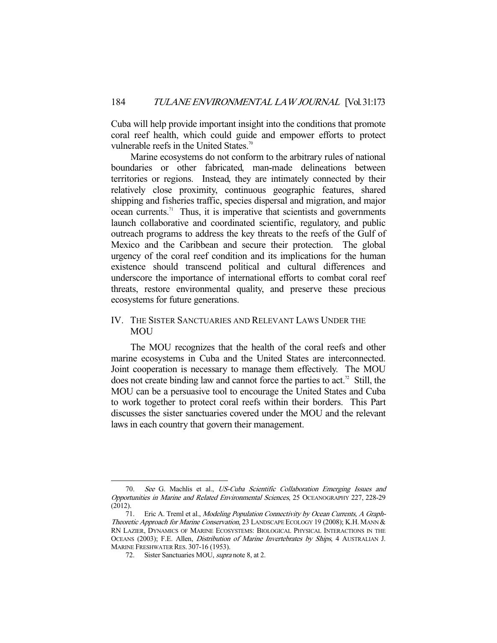Cuba will help provide important insight into the conditions that promote coral reef health, which could guide and empower efforts to protect vulnerable reefs in the United States.<sup>70</sup>

 Marine ecosystems do not conform to the arbitrary rules of national boundaries or other fabricated, man-made delineations between territories or regions. Instead, they are intimately connected by their relatively close proximity, continuous geographic features, shared shipping and fisheries traffic, species dispersal and migration, and major  $ocean currents.<sup>71</sup> Thus, it is is imperative that scientists and governments$ launch collaborative and coordinated scientific, regulatory, and public outreach programs to address the key threats to the reefs of the Gulf of Mexico and the Caribbean and secure their protection. The global urgency of the coral reef condition and its implications for the human existence should transcend political and cultural differences and underscore the importance of international efforts to combat coral reef threats, restore environmental quality, and preserve these precious ecosystems for future generations.

# IV. THE SISTER SANCTUARIES AND RELEVANT LAWS UNDER THE MOU

 The MOU recognizes that the health of the coral reefs and other marine ecosystems in Cuba and the United States are interconnected. Joint cooperation is necessary to manage them effectively. The MOU does not create binding law and cannot force the parties to act.<sup>72</sup> Still, the MOU can be a persuasive tool to encourage the United States and Cuba to work together to protect coral reefs within their borders. This Part discusses the sister sanctuaries covered under the MOU and the relevant laws in each country that govern their management.

 <sup>70.</sup> See G. Machlis et al., US-Cuba Scientific Collaboration Emerging Issues and Opportunities in Marine and Related Environmental Sciences, 25 OCEANOGRAPHY 227, 228-29 (2012).

<sup>71.</sup> Eric A. Treml et al., Modeling Population Connectivity by Ocean Currents, A Graph-Theoretic Approach for Marine Conservation, 23 LANDSCAPE ECOLOGY 19 (2008); K.H. MANN & RN LAZIER, DYNAMICS OF MARINE ECOSYSTEMS: BIOLOGICAL PHYSICAL INTERACTIONS IN THE OCEANS (2003); F.E. Allen, *Distribution of Marine Invertebrates by Ships*, 4 AUSTRALIAN J. MARINE FRESHWATER RES. 307-16 (1953).

<sup>72.</sup> Sister Sanctuaries MOU, *supra* note 8, at 2.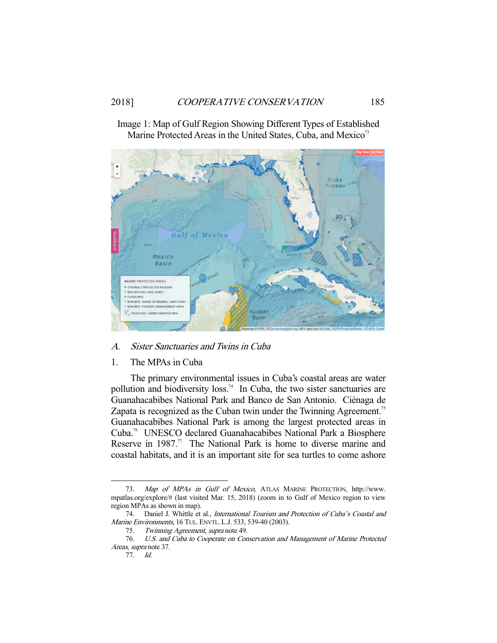

Image 1: Map of Gulf Region Showing Different Types of Established Marine Protected Areas in the United States, Cuba, and Mexico<sup>73</sup>

# A. Sister Sanctuaries and Twins in Cuba

#### 1. The MPAs in Cuba

 The primary environmental issues in Cuba's coastal areas are water pollution and biodiversity loss.<sup>74</sup> In Cuba, the two sister sanctuaries are Guanahacabibes National Park and Banco de San Antonio. Ciénaga de Zapata is recognized as the Cuban twin under the Twinning Agreement.<sup>75</sup> Guanahacabibes National Park is among the largest protected areas in Cuba.76 UNESCO declared Guanahacabibes National Park a Biosphere Reserve in  $1987$ .<sup>77</sup> The National Park is home to diverse marine and coastal habitats, and it is an important site for sea turtles to come ashore

 <sup>73.</sup> Map of MPAs in Gulf of Mexico, ATLAS MARINE PROTECTION, http://www. mpatlas.org/explore/# (last visited Mar. 15, 2018) (zoom in to Gulf of Mexico region to view region MPAs as shown in map).

<sup>74.</sup> Daniel J. Whittle et al., International Tourism and Protection of Cuba's Coastal and Marine Environments, 16 TUL. ENVTL. L.J. 533, 539-40 (2003).

 <sup>75.</sup> Twinning Agreement, supra note 49.

 <sup>76.</sup> U.S. and Cuba to Cooperate on Conservation and Management of Marine Protected Areas, supra note 37.

 <sup>77.</sup> Id.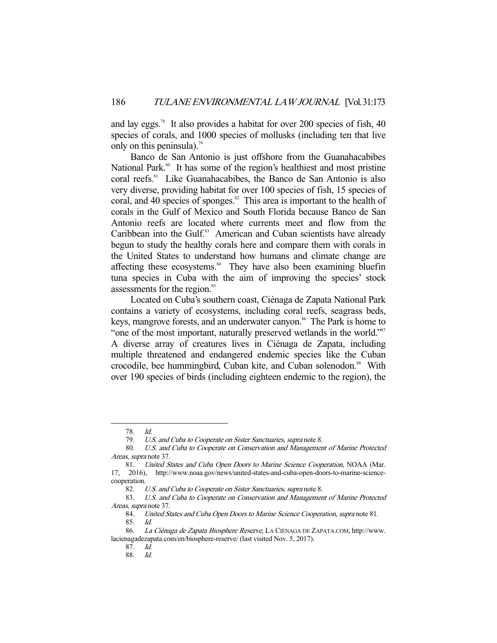and lay eggs.<sup>78</sup> It also provides a habitat for over 200 species of fish, 40 species of corals, and 1000 species of mollusks (including ten that live only on this peninsula).<sup>79</sup>

 Banco de San Antonio is just offshore from the Guanahacabibes National Park.<sup>80</sup> It has some of the region's healthiest and most pristine coral reefs.<sup>81</sup> Like Guanahacabibes, the Banco de San Antonio is also very diverse, providing habitat for over 100 species of fish, 15 species of coral, and 40 species of sponges. $82$  This area is important to the health of corals in the Gulf of Mexico and South Florida because Banco de San Antonio reefs are located where currents meet and flow from the Caribbean into the Gulf.<sup>83</sup> American and Cuban scientists have already begun to study the healthy corals here and compare them with corals in the United States to understand how humans and climate change are affecting these ecosystems.<sup>84</sup> They have also been examining bluefin tuna species in Cuba with the aim of improving the species' stock assessments for the region.<sup>85</sup>

 Located on Cuba's southern coast, Ciénaga de Zapata National Park contains a variety of ecosystems, including coral reefs, seagrass beds, keys, mangrove forests, and an underwater canyon.<sup>86</sup> The Park is home to "one of the most important, naturally preserved wetlands in the world."<sup>87</sup> A diverse array of creatures lives in Ciénaga de Zapata, including multiple threatened and endangered endemic species like the Cuban crocodile, bee hummingbird, Cuban kite, and Cuban solenodon.<sup>88</sup> With over 190 species of birds (including eighteen endemic to the region), the

 <sup>78.</sup> Id.

 <sup>79.</sup> U.S. and Cuba to Cooperate on Sister Sanctuaries, supra note 8.

 <sup>80.</sup> U.S. and Cuba to Cooperate on Conservation and Management of Marine Protected Areas, supra note 37.

 <sup>81.</sup> United States and Cuba Open Doors to Marine Science Cooperation, NOAA (Mar. 17, 2016), http://www.noaa.gov/news/united-states-and-cuba-open-doors-to-marine-sciencecooperation.

<sup>82.</sup> U.S. and Cuba to Cooperate on Sister Sanctuaries, supra note 8.

 <sup>83.</sup> U.S. and Cuba to Cooperate on Conservation and Management of Marine Protected Areas, supra note 37.

 <sup>84.</sup> United States and Cuba Open Doors to Marine Science Cooperation, supra note 81.

 <sup>85.</sup> Id.

<sup>86.</sup> La Ciénaga de Zapata Biosphere Reserve, LA CIÉNAGA DE ZAPATA.COM, http://www. lacienagadezapata.com/en/biosphere-reserve/ (last visited Nov. 5, 2017).

 <sup>87.</sup> Id.

 <sup>88.</sup> Id.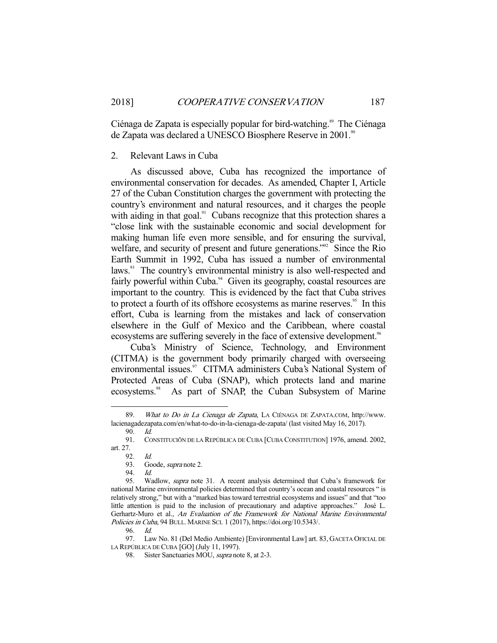Ciénaga de Zapata is especially popular for bird-watching.<sup>89</sup> The Ciénaga de Zapata was declared a UNESCO Biosphere Reserve in 2001.<sup>90</sup>

#### 2. Relevant Laws in Cuba

 As discussed above, Cuba has recognized the importance of environmental conservation for decades. As amended, Chapter I, Article 27 of the Cuban Constitution charges the government with protecting the country's environment and natural resources, and it charges the people with aiding in that goal. $91$  Cubans recognize that this protection shares a "close link with the sustainable economic and social development for making human life even more sensible, and for ensuring the survival, welfare, and security of present and future generations."<sup>92</sup> Since the Rio Earth Summit in 1992, Cuba has issued a number of environmental laws.<sup>93</sup> The country's environmental ministry is also well-respected and fairly powerful within Cuba.<sup>94</sup> Given its geography, coastal resources are important to the country. This is evidenced by the fact that Cuba strives to protect a fourth of its offshore ecosystems as marine reserves.<sup>95</sup> In this effort, Cuba is learning from the mistakes and lack of conservation elsewhere in the Gulf of Mexico and the Caribbean, where coastal ecosystems are suffering severely in the face of extensive development.<sup>96</sup>

 Cuba's Ministry of Science, Technology, and Environment (CITMA) is the government body primarily charged with overseeing environmental issues.<sup>97</sup> CITMA administers Cuba's National System of Protected Areas of Cuba (SNAP), which protects land and marine ecosystems.<sup>98</sup> As part of SNAP, the Cuban Subsystem of Marine

<sup>89.</sup> What to Do in La Cienaga de Zapata, LA CIÉNAGA DE ZAPATA.COM, http://www. lacienagadezapata.com/en/what-to-do-in-la-cienaga-de-zapata/ (last visited May 16, 2017).

 <sup>90.</sup> Id.

 <sup>91.</sup> CONSTITUCIÕN DE LA REPÚBLICA DE CUBA [CUBA CONSTITUTION] 1976, amend. 2002, art. 27.

 <sup>92.</sup> Id.

<sup>93.</sup> Goode, *supra* note 2.

<sup>94.</sup> *Id.*<br>95. Wa

Wadlow, supra note 31. A recent analysis determined that Cuba's framework for national Marine environmental policies determined that country's ocean and coastal resources " is relatively strong," but with a "marked bias toward terrestrial ecosystems and issues" and that "too little attention is paid to the inclusion of precautionary and adaptive approaches." José L. Gerhartz-Muro et al., An Evaluation of the Framework for National Marine Environmental Policies in Cuba, 94 BULL. MARINE SCI. 1 (2017), https://doi.org/10.5343/.

 <sup>96.</sup> Id.

 <sup>97.</sup> Law No. 81 (Del Medio Ambiente) [Environmental Law] art. 83, GACETA OFICIAL DE LA REPÚBLICA DE CUBA [GO] (July 11, 1997).

<sup>98.</sup> Sister Sanctuaries MOU, *supra* note 8, at 2-3.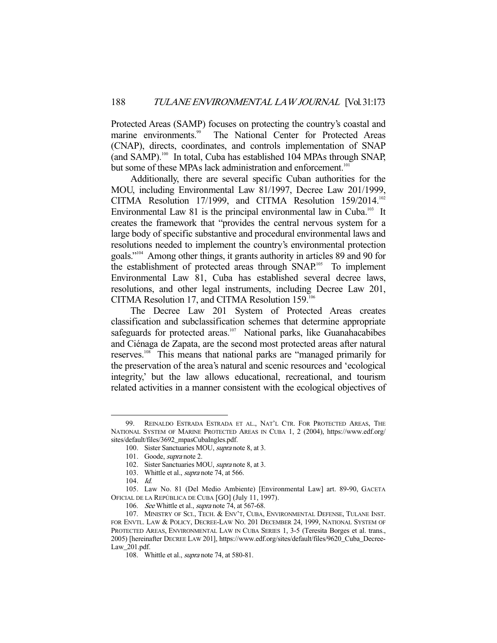Protected Areas (SAMP) focuses on protecting the country's coastal and marine environments.<sup>99</sup> The National Center for Protected Areas The National Center for Protected Areas (CNAP), directs, coordinates, and controls implementation of SNAP (and SAMP). $100$  In total, Cuba has established 104 MPAs through SNAP, but some of these MPAs lack administration and enforcement.<sup>101</sup>

 Additionally, there are several specific Cuban authorities for the MOU, including Environmental Law 81/1997, Decree Law 201/1999, CITMA Resolution 17/1999, and CITMA Resolution 159/2014.102 Environmental Law 81 is the principal environmental law in Cuba.<sup>103</sup> It creates the framework that "provides the central nervous system for a large body of specific substantive and procedural environmental laws and resolutions needed to implement the country's environmental protection goals."104 Among other things, it grants authority in articles 89 and 90 for the establishment of protected areas through SNAP.<sup>105</sup> To implement Environmental Law 81, Cuba has established several decree laws, resolutions, and other legal instruments, including Decree Law 201, CITMA Resolution 17, and CITMA Resolution 159.106

 The Decree Law 201 System of Protected Areas creates classification and subclassification schemes that determine appropriate safeguards for protected areas.<sup>107</sup> National parks, like Guanahacabibes and Ciénaga de Zapata, are the second most protected areas after natural reserves.108 This means that national parks are "managed primarily for the preservation of the area's natural and scenic resources and 'ecological integrity,' but the law allows educational, recreational, and tourism related activities in a manner consistent with the ecological objectives of

 <sup>99.</sup> REINALDO ESTRADA ESTRADA ET AL., NAT'L CTR. FOR PROTECTED AREAS, THE NATIONAL SYSTEM OF MARINE PROTECTED AREAS IN CUBA 1, 2 (2004), https://www.edf.org/ sites/default/files/3692\_mpasCubaIngles.pdf.

<sup>100.</sup> Sister Sanctuaries MOU, supra note 8, at 3.

<sup>101.</sup> Goode, *supra* note 2.

 <sup>102.</sup> Sister Sanctuaries MOU, supra note 8, at 3.

<sup>103.</sup> Whittle et al., *supra* note 74, at 566.

 <sup>104.</sup> Id.

 <sup>105.</sup> Law No. 81 (Del Medio Ambiente) [Environmental Law] art. 89-90, GACETA OFICIAL DE LA REPÚBLICA DE CUBA [GO] (July 11, 1997).

<sup>106.</sup> See Whittle et al., supra note 74, at 567-68.

 <sup>107.</sup> MINISTRY OF SCI., TECH. & ENV'T, CUBA, ENVIRONMENTAL DEFENSE, TULANE INST. FOR ENVTL. LAW & POLICY, DECREE-LAW NO. 201 DECEMBER 24, 1999, NATIONAL SYSTEM OF PROTECTED AREAS, ENVIRONMENTAL LAW IN CUBA SERIES 1, 3-5 (Teresita Borges et al. trans., 2005) [hereinafter DECREE LAW 201], https://www.edf.org/sites/default/files/9620\_Cuba\_Decree-Law\_201.pdf.

<sup>108.</sup> Whittle et al., *supra* note 74, at 580-81.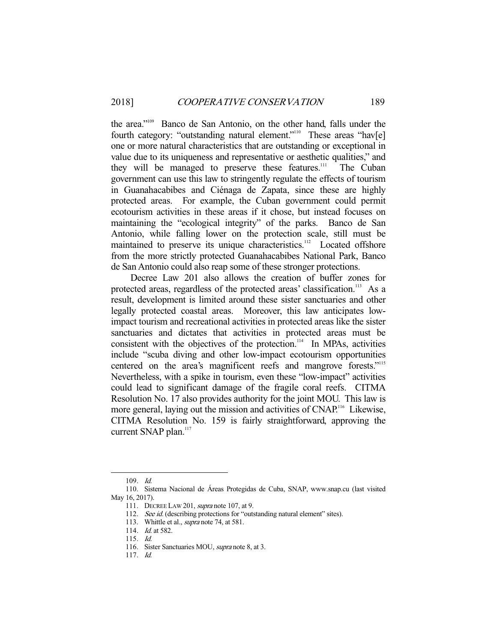the area."109 Banco de San Antonio, on the other hand, falls under the fourth category: "outstanding natural element."<sup>110</sup> These areas "hav[e] one or more natural characteristics that are outstanding or exceptional in value due to its uniqueness and representative or aesthetic qualities," and they will be managed to preserve these features.<sup>111</sup> The Cuban government can use this law to stringently regulate the effects of tourism in Guanahacabibes and Ciénaga de Zapata, since these are highly protected areas. For example, the Cuban government could permit ecotourism activities in these areas if it chose, but instead focuses on maintaining the "ecological integrity" of the parks. Banco de San Antonio, while falling lower on the protection scale, still must be maintained to preserve its unique characteristics.<sup>112</sup> Located offshore from the more strictly protected Guanahacabibes National Park, Banco de San Antonio could also reap some of these stronger protections.

 Decree Law 201 also allows the creation of buffer zones for protected areas, regardless of the protected areas' classification.<sup>113</sup> As a result, development is limited around these sister sanctuaries and other legally protected coastal areas. Moreover, this law anticipates lowimpact tourism and recreational activities in protected areas like the sister sanctuaries and dictates that activities in protected areas must be consistent with the objectives of the protection.<sup>114</sup> In MPAs, activities include "scuba diving and other low-impact ecotourism opportunities centered on the area's magnificent reefs and mangrove forests."<sup>115</sup> Nevertheless, with a spike in tourism, even these "low-impact" activities could lead to significant damage of the fragile coral reefs. CITMA Resolution No. 17 also provides authority for the joint MOU. This law is more general, laying out the mission and activities of CNAP.<sup>116</sup> Likewise, CITMA Resolution No. 159 is fairly straightforward, approving the current SNAP plan.<sup>117</sup>

 <sup>109.</sup> Id.

 <sup>110.</sup> Sistema Nacional de Áreas Protegidas de Cuba, SNAP, www.snap.cu (last visited May 16, 2017).

<sup>111.</sup> DECREE LAW 201, *supra* note 107, at 9.

<sup>112.</sup> See id. (describing protections for "outstanding natural element" sites).

<sup>113.</sup> Whittle et al., *supra* note 74, at 581.

<sup>114.</sup> *Id.* at 582.

 <sup>115.</sup> Id.

<sup>116.</sup> Sister Sanctuaries MOU, *supra* note 8, at 3.

 <sup>117.</sup> Id.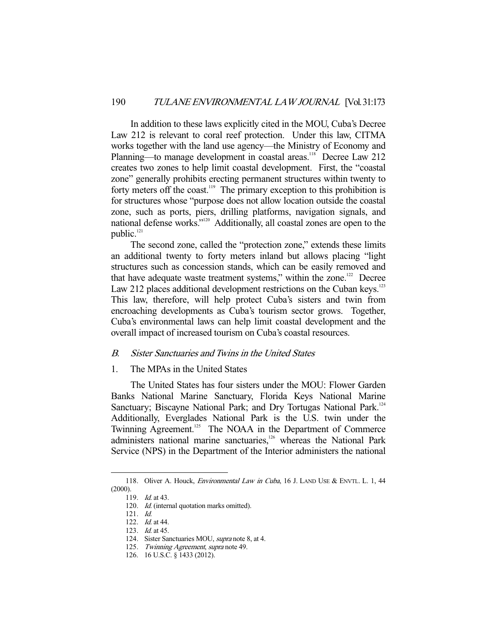In addition to these laws explicitly cited in the MOU, Cuba's Decree Law 212 is relevant to coral reef protection. Under this law, CITMA works together with the land use agency—the Ministry of Economy and Planning—to manage development in coastal areas.<sup>118</sup> Decree Law 212 creates two zones to help limit coastal development. First, the "coastal zone" generally prohibits erecting permanent structures within twenty to forty meters off the coast.<sup>119</sup> The primary exception to this prohibition is for structures whose "purpose does not allow location outside the coastal zone, such as ports, piers, drilling platforms, navigation signals, and national defense works."120 Additionally, all coastal zones are open to the public.<sup>121</sup>

 The second zone, called the "protection zone," extends these limits an additional twenty to forty meters inland but allows placing "light structures such as concession stands, which can be easily removed and that have adequate waste treatment systems," within the zone. $122$  Decree Law 212 places additional development restrictions on the Cuban keys.<sup>123</sup> This law, therefore, will help protect Cuba's sisters and twin from encroaching developments as Cuba's tourism sector grows. Together, Cuba's environmental laws can help limit coastal development and the overall impact of increased tourism on Cuba's coastal resources.

# B. Sister Sanctuaries and Twins in the United States

#### 1. The MPAs in the United States

 The United States has four sisters under the MOU: Flower Garden Banks National Marine Sanctuary, Florida Keys National Marine Sanctuary; Biscayne National Park; and Dry Tortugas National Park.<sup>124</sup> Additionally, Everglades National Park is the U.S. twin under the Twinning Agreement.<sup>125</sup> The NOAA in the Department of Commerce administers national marine sanctuaries,<sup>126</sup> whereas the National Park Service (NPS) in the Department of the Interior administers the national

<sup>118.</sup> Oliver A. Houck, *Environmental Law in Cuba*, 16 J. LAND USE & ENVTL. L. 1, 44 (2000).

 <sup>119.</sup> Id. at 43.

<sup>120.</sup> Id. (internal quotation marks omitted).

 <sup>121.</sup> Id.

<sup>122.</sup> *Id.* at 44.

<sup>123.</sup> *Id.* at 45.

 <sup>124.</sup> Sister Sanctuaries MOU, supra note 8, at 4.

<sup>125.</sup> Twinning Agreement, supra note 49.

 <sup>126. 16</sup> U.S.C. § 1433 (2012).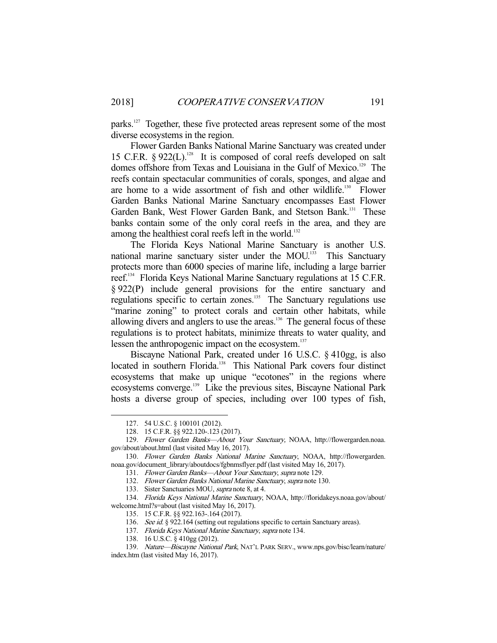parks.<sup>127</sup> Together, these five protected areas represent some of the most diverse ecosystems in the region.

 Flower Garden Banks National Marine Sanctuary was created under 15 C.F.R.  $\S 922(L)$ .<sup>128</sup> It is composed of coral reefs developed on salt domes offshore from Texas and Louisiana in the Gulf of Mexico.<sup>129</sup> The reefs contain spectacular communities of corals, sponges, and algae and are home to a wide assortment of fish and other wildlife.<sup>130</sup> Flower Garden Banks National Marine Sanctuary encompasses East Flower Garden Bank, West Flower Garden Bank, and Stetson Bank.<sup>131</sup> These banks contain some of the only coral reefs in the area, and they are among the healthiest coral reefs left in the world.<sup>132</sup>

 The Florida Keys National Marine Sanctuary is another U.S. national marine sanctuary sister under the MOU.<sup>133</sup> This Sanctuary protects more than 6000 species of marine life, including a large barrier reef.<sup>134</sup> Florida Keys National Marine Sanctuary regulations at 15 C.F.R. § 922(P) include general provisions for the entire sanctuary and regulations specific to certain zones.<sup>135</sup> The Sanctuary regulations use "marine zoning" to protect corals and certain other habitats, while allowing divers and anglers to use the areas.<sup>136</sup> The general focus of these regulations is to protect habitats, minimize threats to water quality, and lessen the anthropogenic impact on the ecosystem.<sup>137</sup>

 Biscayne National Park, created under 16 U.S.C. § 410gg, is also located in southern Florida.<sup>138</sup> This National Park covers four distinct ecosystems that make up unique "ecotones" in the regions where ecosystems converge.<sup>139</sup> Like the previous sites, Biscayne National Park hosts a diverse group of species, including over 100 types of fish,

-

131. Flower Garden Banks—About Your Sanctuary, supra note 129.

 <sup>127. 54</sup> U.S.C. § 100101 (2012).

 <sup>128. 15</sup> C.F.R. §§ 922.120-.123 (2017).

 <sup>129.</sup> Flower Garden Banks—About Your Sanctuary, NOAA, http://flowergarden.noaa. gov/about/about.html (last visited May 16, 2017).

<sup>130.</sup> Flower Garden Banks National Marine Sanctuary, NOAA, http://flowergarden. noaa.gov/document\_library/aboutdocs/fgbnmsflyer.pdf (last visited May 16, 2017).

<sup>132.</sup> Flower Garden Banks National Marine Sanctuary, supra note 130.

<sup>133.</sup> Sister Sanctuaries MOU, *supra* note 8, at 4.

 <sup>134.</sup> Florida Keys National Marine Sanctuary, NOAA, http://floridakeys.noaa.gov/about/ welcome.html?s=about (last visited May 16, 2017).

 <sup>135. 15</sup> C.F.R. §§ 922.163-.164 (2017).

<sup>136.</sup> See id. § 922.164 (setting out regulations specific to certain Sanctuary areas).

<sup>137.</sup> Florida Keys National Marine Sanctuary, supra note 134.

 <sup>138. 16</sup> U.S.C. § 410gg (2012).

 <sup>139.</sup> Nature—Biscayne National Park, NAT'L PARK SERV., www.nps.gov/bisc/learn/nature/ index.htm (last visited May 16, 2017).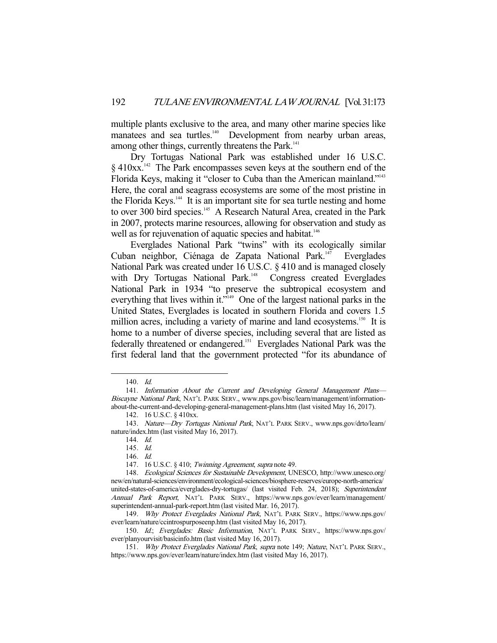multiple plants exclusive to the area, and many other marine species like manatees and sea turtles.<sup>140</sup> Development from nearby urban areas, among other things, currently threatens the Park.<sup>141</sup>

 Dry Tortugas National Park was established under 16 U.S.C.  $\S$  410xx.<sup>142</sup> The Park encompasses seven keys at the southern end of the Florida Keys, making it "closer to Cuba than the American mainland."<sup>143</sup> Here, the coral and seagrass ecosystems are some of the most pristine in the Florida Keys.<sup>144</sup> It is an important site for sea turtle nesting and home to over 300 bird species.<sup>145</sup> A Research Natural Area, created in the Park in 2007, protects marine resources, allowing for observation and study as well as for rejuvenation of aquatic species and habitat.<sup>146</sup>

 Everglades National Park "twins" with its ecologically similar Cuban neighbor, Ciénaga de Zapata National Park.<sup>147</sup> Everglades National Park was created under 16 U.S.C. § 410 and is managed closely with Dry Tortugas National Park.<sup>148</sup> Congress created Everglades National Park in 1934 "to preserve the subtropical ecosystem and everything that lives within it."<sup>149</sup> One of the largest national parks in the United States, Everglades is located in southern Florida and covers 1.5 million acres, including a variety of marine and land ecosystems.<sup>150</sup> It is home to a number of diverse species, including several that are listed as federally threatened or endangered.151 Everglades National Park was the first federal land that the government protected "for its abundance of

 <sup>140.</sup> Id.

 <sup>141.</sup> Information About the Current and Developing General Management Plans— Biscayne National Park, NAT'L PARK SERV., www.nps.gov/bisc/learn/management/informationabout-the-current-and-developing-general-management-plans.htm (last visited May 16, 2017).

 <sup>142. 16</sup> U.S.C. § 410xx.

<sup>143.</sup> Nature-Dry Tortugas National Park, NAT'L PARK SERV., www.nps.gov/drto/learn/ nature/index.htm (last visited May 16, 2017).

 <sup>144.</sup> Id.

 <sup>145.</sup> Id.

 <sup>146.</sup> Id.

<sup>147. 16</sup> U.S.C. § 410; Twinning Agreement, supra note 49.

 <sup>148.</sup> Ecological Sciences for Sustainable Development, UNESCO, http://www.unesco.org/ new/en/natural-sciences/environment/ecological-sciences/biosphere-reserves/europe-north-america/ united-states-of-america/everglades-dry-tortugas/ (last visited Feb. 24, 2018); Superintendent Annual Park Report, NAT'L PARK SERV., https://www.nps.gov/ever/learn/management/ superintendent-annual-park-report.htm (last visited Mar. 16, 2017).

<sup>149.</sup> Why Protect Everglades National Park, NAT'L PARK SERV., https://www.nps.gov/ ever/learn/nature/ccintrospurposeenp.htm (last visited May 16, 2017).

 <sup>150.</sup> Id.; Everglades: Basic Information, NAT'L PARK SERV., https://www.nps.gov/ ever/planyourvisit/basicinfo.htm (last visited May 16, 2017).

 <sup>151.</sup> Why Protect Everglades National Park, supra note 149; Nature, NAT'L PARK SERV., https://www.nps.gov/ever/learn/nature/index.htm (last visited May 16, 2017).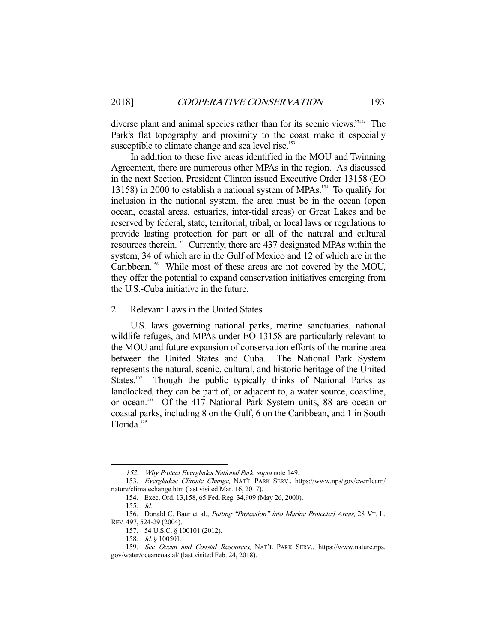diverse plant and animal species rather than for its scenic views."152 The Park's flat topography and proximity to the coast make it especially susceptible to climate change and sea level rise.<sup>153</sup>

 In addition to these five areas identified in the MOU and Twinning Agreement, there are numerous other MPAs in the region. As discussed in the next Section, President Clinton issued Executive Order 13158 (EO 13158) in 2000 to establish a national system of MPAs.154 To qualify for inclusion in the national system, the area must be in the ocean (open ocean, coastal areas, estuaries, inter-tidal areas) or Great Lakes and be reserved by federal, state, territorial, tribal, or local laws or regulations to provide lasting protection for part or all of the natural and cultural resources therein.155 Currently, there are 437 designated MPAs within the system, 34 of which are in the Gulf of Mexico and 12 of which are in the Caribbean.<sup>156</sup> While most of these areas are not covered by the MOU, they offer the potential to expand conservation initiatives emerging from the U.S.-Cuba initiative in the future.

2. Relevant Laws in the United States

 U.S. laws governing national parks, marine sanctuaries, national wildlife refuges, and MPAs under EO 13158 are particularly relevant to the MOU and future expansion of conservation efforts of the marine area between the United States and Cuba. The National Park System represents the natural, scenic, cultural, and historic heritage of the United States.<sup>157</sup> Though the public typically thinks of National Parks as landlocked, they can be part of, or adjacent to, a water source, coastline, or ocean.158 Of the 417 National Park System units, 88 are ocean or coastal parks, including 8 on the Gulf, 6 on the Caribbean, and 1 in South Florida.<sup>159</sup>

 <sup>152.</sup> Why Protect Everglades National Park, supra note 149.

 <sup>153.</sup> Everglades: Climate Change, NAT'L PARK SERV., https://www.nps/gov/ever/learn/ nature/climatechange.htm (last visited Mar. 16, 2017).

 <sup>154.</sup> Exec. Ord. 13,158, 65 Fed. Reg. 34,909 (May 26, 2000).

 <sup>155.</sup> Id.

<sup>156.</sup> Donald C. Baur et al., Putting "Protection" into Marine Protected Areas, 28 VT. L. REV. 497, 524-29 (2004).

 <sup>157. 54</sup> U.S.C. § 100101 (2012).

 <sup>158.</sup> Id. § 100501.

 <sup>159.</sup> See Ocean and Coastal Resources, NAT'L PARK SERV., https://www.nature.nps. gov/water/oceancoastal/ (last visited Feb. 24, 2018).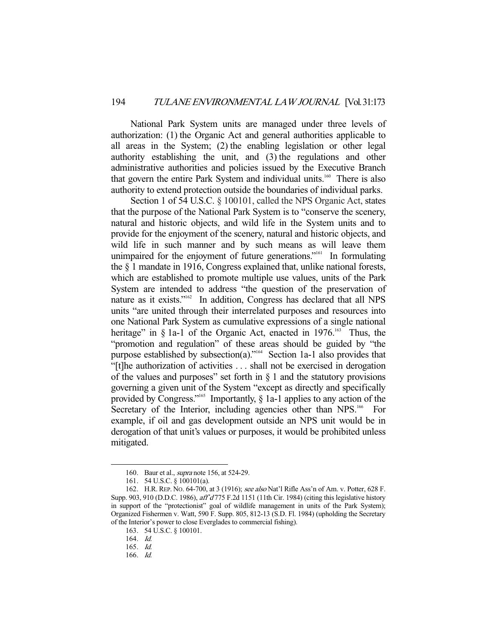National Park System units are managed under three levels of authorization: (1) the Organic Act and general authorities applicable to all areas in the System; (2) the enabling legislation or other legal authority establishing the unit, and (3) the regulations and other administrative authorities and policies issued by the Executive Branch that govern the entire Park System and individual units.<sup>160</sup> There is also authority to extend protection outside the boundaries of individual parks.

Section 1 of 54 U.S.C. § 100101, called the NPS Organic Act, states that the purpose of the National Park System is to "conserve the scenery, natural and historic objects, and wild life in the System units and to provide for the enjoyment of the scenery, natural and historic objects, and wild life in such manner and by such means as will leave them unimpaired for the enjoyment of future generations."<sup>161</sup> In formulating the § 1 mandate in 1916, Congress explained that, unlike national forests, which are established to promote multiple use values, units of the Park System are intended to address "the question of the preservation of nature as it exists."<sup>162</sup> In addition, Congress has declared that all NPS units "are united through their interrelated purposes and resources into one National Park System as cumulative expressions of a single national heritage" in  $\S$  1a-1 of the Organic Act, enacted in 1976.<sup>163</sup> Thus, the "promotion and regulation" of these areas should be guided by "the purpose established by subsection(a)."<sup>164</sup> Section 1a-1 also provides that "[t]he authorization of activities . . . shall not be exercised in derogation of the values and purposes" set forth in  $\S$  1 and the statutory provisions governing a given unit of the System "except as directly and specifically provided by Congress."<sup>165</sup> Importantly,  $\S$  1a-1 applies to any action of the Secretary of the Interior, including agencies other than NPS.<sup>166</sup> For example, if oil and gas development outside an NPS unit would be in derogation of that unit's values or purposes, it would be prohibited unless mitigated.

-

166. Id.

<sup>160.</sup> Baur et al., *supra* note 156, at 524-29.

 <sup>161. 54</sup> U.S.C. § 100101(a).

 <sup>162.</sup> H.R. REP. NO. 64-700, at 3 (1916); see also Nat'l Rifle Ass'n of Am. v. Potter, 628 F. Supp. 903, 910 (D.D.C. 1986), aff<sup>3</sup>d 775 F.2d 1151 (11th Cir. 1984) (citing this legislative history in support of the "protectionist" goal of wildlife management in units of the Park System); Organized Fishermen v. Watt, 590 F. Supp. 805, 812-13 (S.D. Fl. 1984) (upholding the Secretary of the Interior's power to close Everglades to commercial fishing).

 <sup>163. 54</sup> U.S.C. § 100101.

 <sup>164.</sup> Id.

 <sup>165.</sup> Id.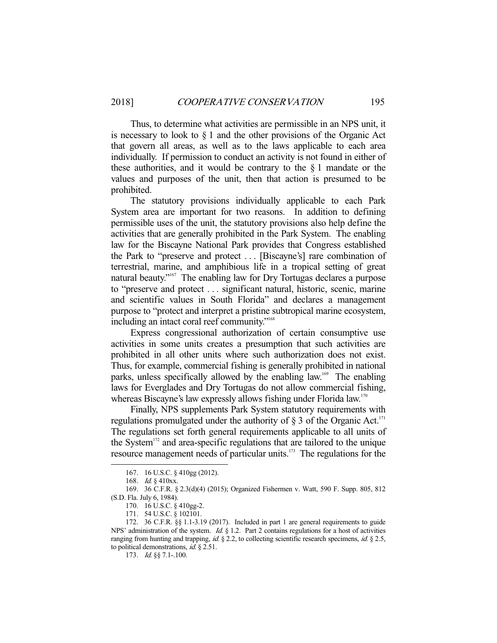Thus, to determine what activities are permissible in an NPS unit, it is necessary to look to  $\S 1$  and the other provisions of the Organic Act that govern all areas, as well as to the laws applicable to each area individually. If permission to conduct an activity is not found in either of these authorities, and it would be contrary to the  $\S$  1 mandate or the values and purposes of the unit, then that action is presumed to be prohibited.

 The statutory provisions individually applicable to each Park System area are important for two reasons. In addition to defining permissible uses of the unit, the statutory provisions also help define the activities that are generally prohibited in the Park System. The enabling law for the Biscayne National Park provides that Congress established the Park to "preserve and protect . . . [Biscayne's] rare combination of terrestrial, marine, and amphibious life in a tropical setting of great natural beauty."167 The enabling law for Dry Tortugas declares a purpose to "preserve and protect . . . significant natural, historic, scenic, marine and scientific values in South Florida" and declares a management purpose to "protect and interpret a pristine subtropical marine ecosystem, including an intact coral reef community."<sup>168</sup>

 Express congressional authorization of certain consumptive use activities in some units creates a presumption that such activities are prohibited in all other units where such authorization does not exist. Thus, for example, commercial fishing is generally prohibited in national parks, unless specifically allowed by the enabling law.<sup>169</sup> The enabling laws for Everglades and Dry Tortugas do not allow commercial fishing, whereas Biscayne's law expressly allows fishing under Florida law.<sup>170</sup>

 Finally, NPS supplements Park System statutory requirements with regulations promulgated under the authority of  $\S$  3 of the Organic Act.<sup>171</sup> The regulations set forth general requirements applicable to all units of the System<sup>172</sup> and area-specific regulations that are tailored to the unique resource management needs of particular units.<sup>173</sup> The regulations for the

 <sup>167. 16</sup> U.S.C. § 410gg (2012).

 <sup>168.</sup> Id. § 410xx.

 <sup>169. 36</sup> C.F.R. § 2.3(d)(4) (2015); Organized Fishermen v. Watt, 590 F. Supp. 805, 812 (S.D. Fla. July 6, 1984).

 <sup>170. 16</sup> U.S.C. § 410gg-2.

 <sup>171. 54</sup> U.S.C. § 102101.

 <sup>172. 36</sup> C.F.R. §§ 1.1-3.19 (2017). Included in part 1 are general requirements to guide NPS' administration of the system. Id. § 1.2. Part 2 contains regulations for a host of activities ranging from hunting and trapping, *id.* § 2.2, to collecting scientific research specimens, *id.* § 2.5, to political demonstrations, id. § 2.51.

 <sup>173.</sup> Id. §§ 7.1-.100.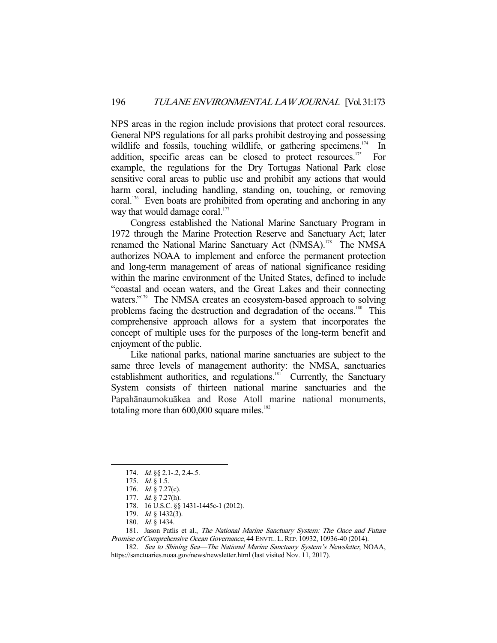NPS areas in the region include provisions that protect coral resources. General NPS regulations for all parks prohibit destroying and possessing wildlife and fossils, touching wildlife, or gathering specimens.<sup>174</sup> In addition, specific areas can be closed to protect resources.<sup>175</sup> For example, the regulations for the Dry Tortugas National Park close sensitive coral areas to public use and prohibit any actions that would harm coral, including handling, standing on, touching, or removing coral.<sup>176</sup> Even boats are prohibited from operating and anchoring in any way that would damage coral.<sup>177</sup>

 Congress established the National Marine Sanctuary Program in 1972 through the Marine Protection Reserve and Sanctuary Act; later renamed the National Marine Sanctuary Act (NMSA).<sup>178</sup> The NMSA authorizes NOAA to implement and enforce the permanent protection and long-term management of areas of national significance residing within the marine environment of the United States, defined to include "coastal and ocean waters, and the Great Lakes and their connecting waters."<sup>179</sup> The NMSA creates an ecosystem-based approach to solving problems facing the destruction and degradation of the oceans.<sup>180</sup> This comprehensive approach allows for a system that incorporates the concept of multiple uses for the purposes of the long-term benefit and enjoyment of the public.

 Like national parks, national marine sanctuaries are subject to the same three levels of management authority: the NMSA, sanctuaries establishment authorities, and regulations.<sup>181</sup> Currently, the Sanctuary System consists of thirteen national marine sanctuaries and the Papahānaumokuākea and Rose Atoll marine national monuments, totaling more than  $600,000$  square miles.<sup>182</sup>

 <sup>174.</sup> Id. §§ 2.1-.2, 2.4-.5.

 <sup>175.</sup> Id. § 1.5.

 <sup>176.</sup> Id. § 7.27(c).

 <sup>177.</sup> Id. § 7.27(h).

 <sup>178. 16</sup> U.S.C. §§ 1431-1445c-1 (2012).

<sup>179.</sup> *Id.* § 1432(3).

 <sup>180.</sup> Id. § 1434.

<sup>181.</sup> Jason Patlis et al., The National Marine Sanctuary System: The Once and Future Promise of Comprehensive Ocean Governance, 44 ENVTL. L. REP. 10932, 10936-40 (2014).

 <sup>182.</sup> Sea to Shining Sea—The National Marine Sanctuary System's Newsletter, NOAA, https://sanctuaries.noaa.gov/news/newsletter.html (last visited Nov. 11, 2017).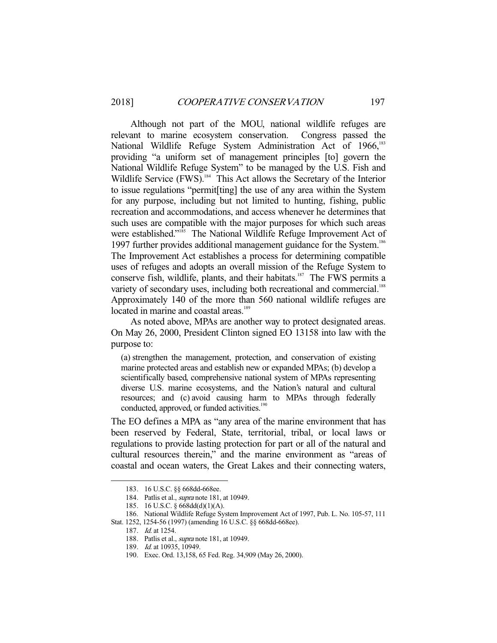Although not part of the MOU, national wildlife refuges are relevant to marine ecosystem conservation. Congress passed the National Wildlife Refuge System Administration Act of 1966,<sup>183</sup> providing "a uniform set of management principles [to] govern the National Wildlife Refuge System" to be managed by the U.S. Fish and Wildlife Service (FWS).<sup>184</sup> This Act allows the Secretary of the Interior to issue regulations "permit[ting] the use of any area within the System for any purpose, including but not limited to hunting, fishing, public recreation and accommodations, and access whenever he determines that such uses are compatible with the major purposes for which such areas were established."<sup>185</sup> The National Wildlife Refuge Improvement Act of 1997 further provides additional management guidance for the System.<sup>186</sup> The Improvement Act establishes a process for determining compatible uses of refuges and adopts an overall mission of the Refuge System to conserve fish, wildlife, plants, and their habitats.<sup>187</sup> The FWS permits a variety of secondary uses, including both recreational and commercial.<sup>188</sup> Approximately 140 of the more than 560 national wildlife refuges are located in marine and coastal areas.<sup>189</sup>

 As noted above, MPAs are another way to protect designated areas. On May 26, 2000, President Clinton signed EO 13158 into law with the purpose to:

(a) strengthen the management, protection, and conservation of existing marine protected areas and establish new or expanded MPAs; (b) develop a scientifically based, comprehensive national system of MPAs representing diverse U.S. marine ecosystems, and the Nation's natural and cultural resources; and (c) avoid causing harm to MPAs through federally conducted, approved, or funded activities.<sup>190</sup>

The EO defines a MPA as "any area of the marine environment that has been reserved by Federal, State, territorial, tribal, or local laws or regulations to provide lasting protection for part or all of the natural and cultural resources therein," and the marine environment as "areas of coastal and ocean waters, the Great Lakes and their connecting waters,

 <sup>183. 16</sup> U.S.C. §§ 668dd-668ee.

<sup>184.</sup> Patlis et al., *supra* note 181, at 10949.

 <sup>185. 16</sup> U.S.C. § 668dd(d)(1)(A).

 <sup>186.</sup> National Wildlife Refuge System Improvement Act of 1997, Pub. L. No. 105-57, 111 Stat. 1252, 1254-56 (1997) (amending 16 U.S.C. §§ 668dd-668ee).

 <sup>187.</sup> Id. at 1254.

 <sup>188.</sup> Patlis et al., supra note 181, at 10949.

<sup>189.</sup> *Id.* at 10935, 10949.

 <sup>190.</sup> Exec. Ord. 13,158, 65 Fed. Reg. 34,909 (May 26, 2000).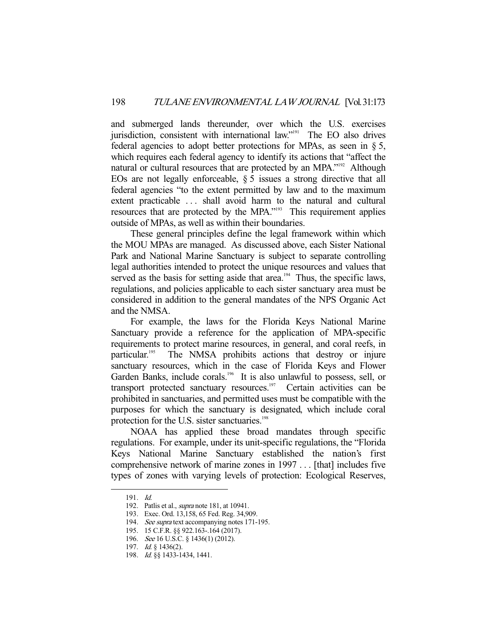and submerged lands thereunder, over which the U.S. exercises jurisdiction, consistent with international law."<sup>191</sup> The EO also drives federal agencies to adopt better protections for MPAs, as seen in § 5, which requires each federal agency to identify its actions that "affect the natural or cultural resources that are protected by an MPA."<sup>192</sup> Although EOs are not legally enforceable,  $\S 5$  issues a strong directive that all federal agencies "to the extent permitted by law and to the maximum extent practicable ... shall avoid harm to the natural and cultural resources that are protected by the MPA."<sup>193</sup> This requirement applies outside of MPAs, as well as within their boundaries.

 These general principles define the legal framework within which the MOU MPAs are managed. As discussed above, each Sister National Park and National Marine Sanctuary is subject to separate controlling legal authorities intended to protect the unique resources and values that served as the basis for setting aside that  $area$ <sup>194</sup>. Thus, the specific laws, regulations, and policies applicable to each sister sanctuary area must be considered in addition to the general mandates of the NPS Organic Act and the NMSA.

 For example, the laws for the Florida Keys National Marine Sanctuary provide a reference for the application of MPA-specific requirements to protect marine resources, in general, and coral reefs, in particular.<sup>195</sup> The NMSA prohibits actions that destroy or injure sanctuary resources, which in the case of Florida Keys and Flower Garden Banks, include corals.<sup>196</sup> It is also unlawful to possess, sell, or transport protected sanctuary resources.<sup>197</sup> Certain activities can be prohibited in sanctuaries, and permitted uses must be compatible with the purposes for which the sanctuary is designated, which include coral protection for the U.S. sister sanctuaries.<sup>198</sup>

 NOAA has applied these broad mandates through specific regulations. For example, under its unit-specific regulations, the "Florida Keys National Marine Sanctuary established the nation's first comprehensive network of marine zones in 1997 . . . [that] includes five types of zones with varying levels of protection: Ecological Reserves,

 <sup>191.</sup> Id.

 <sup>192.</sup> Patlis et al., supra note 181, at 10941.

 <sup>193.</sup> Exec. Ord. 13,158, 65 Fed. Reg. 34,909.

<sup>194.</sup> See supra text accompanying notes 171-195.

 <sup>195. 15</sup> C.F.R. §§ 922.163-.164 (2017).

<sup>196.</sup> See 16 U.S.C. § 1436(1) (2012).

 <sup>197.</sup> Id. § 1436(2).

 <sup>198.</sup> Id. §§ 1433-1434, 1441.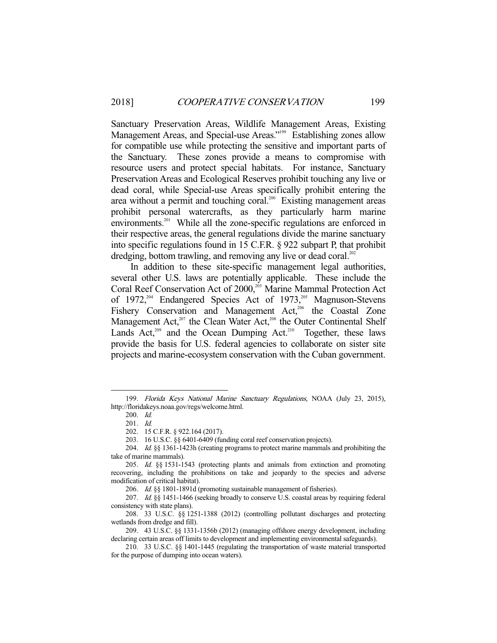Sanctuary Preservation Areas, Wildlife Management Areas, Existing Management Areas, and Special-use Areas."<sup>199</sup> Establishing zones allow for compatible use while protecting the sensitive and important parts of the Sanctuary. These zones provide a means to compromise with resource users and protect special habitats. For instance, Sanctuary Preservation Areas and Ecological Reserves prohibit touching any live or dead coral, while Special-use Areas specifically prohibit entering the area without a permit and touching coral.<sup>200</sup> Existing management areas prohibit personal watercrafts, as they particularly harm marine environments.<sup>201</sup> While all the zone-specific regulations are enforced in their respective areas, the general regulations divide the marine sanctuary into specific regulations found in 15 C.F.R. § 922 subpart P, that prohibit dredging, bottom trawling, and removing any live or dead coral.<sup>202</sup>

 In addition to these site-specific management legal authorities, several other U.S. laws are potentially applicable. These include the Coral Reef Conservation Act of 2000,<sup>203</sup> Marine Mammal Protection Act of 1972,<sup>204</sup> Endangered Species Act of 1973,<sup>205</sup> Magnuson-Stevens Fishery Conservation and Management Act,<sup>206</sup> the Coastal Zone Management Act,<sup>207</sup> the Clean Water Act,<sup>208</sup> the Outer Continental Shelf Lands Act,<sup>209</sup> and the Ocean Dumping Act.<sup>210</sup> Together, these laws provide the basis for U.S. federal agencies to collaborate on sister site projects and marine-ecosystem conservation with the Cuban government.

 <sup>199.</sup> Florida Keys National Marine Sanctuary Regulations, NOAA (July 23, 2015), http://floridakeys.noaa.gov/regs/welcome.html.

 <sup>200.</sup> Id.

 <sup>201.</sup> Id.

 <sup>202. 15</sup> C.F.R. § 922.164 (2017).

 <sup>203. 16</sup> U.S.C. §§ 6401-6409 (funding coral reef conservation projects).

 <sup>204.</sup> Id. §§ 1361-1423h (creating programs to protect marine mammals and prohibiting the take of marine mammals).

 <sup>205.</sup> Id. §§ 1531-1543 (protecting plants and animals from extinction and promoting recovering, including the prohibitions on take and jeopardy to the species and adverse modification of critical habitat).

<sup>206.</sup> Id. §§ 1801-1891d (promoting sustainable management of fisheries).

<sup>207.</sup> Id. §§ 1451-1466 (seeking broadly to conserve U.S. coastal areas by requiring federal consistency with state plans).

 <sup>208. 33</sup> U.S.C. §§ 1251-1388 (2012) (controlling pollutant discharges and protecting wetlands from dredge and fill).

 <sup>209. 43</sup> U.S.C. §§ 1331-1356b (2012) (managing offshore energy development, including declaring certain areas off limits to development and implementing environmental safeguards).

 <sup>210. 33</sup> U.S.C. §§ 1401-1445 (regulating the transportation of waste material transported for the purpose of dumping into ocean waters).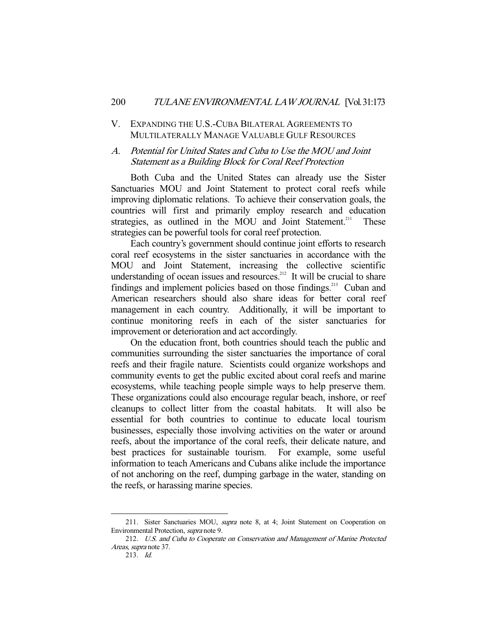# V. EXPANDING THE U.S.-CUBA BILATERAL AGREEMENTS TO MULTILATERALLY MANAGE VALUABLE GULF RESOURCES

# A. Potential for United States and Cuba to Use the MOU and Joint Statement as a Building Block for Coral Reef Protection

 Both Cuba and the United States can already use the Sister Sanctuaries MOU and Joint Statement to protect coral reefs while improving diplomatic relations. To achieve their conservation goals, the countries will first and primarily employ research and education strategies, as outlined in the MOU and Joint Statement.<sup>211</sup> These strategies can be powerful tools for coral reef protection.

 Each country's government should continue joint efforts to research coral reef ecosystems in the sister sanctuaries in accordance with the MOU and Joint Statement, increasing the collective scientific understanding of ocean issues and resources.<sup>212</sup> It will be crucial to share findings and implement policies based on those findings.<sup>213</sup> Cuban and American researchers should also share ideas for better coral reef management in each country. Additionally, it will be important to continue monitoring reefs in each of the sister sanctuaries for improvement or deterioration and act accordingly.

 On the education front, both countries should teach the public and communities surrounding the sister sanctuaries the importance of coral reefs and their fragile nature. Scientists could organize workshops and community events to get the public excited about coral reefs and marine ecosystems, while teaching people simple ways to help preserve them. These organizations could also encourage regular beach, inshore, or reef cleanups to collect litter from the coastal habitats. It will also be essential for both countries to continue to educate local tourism businesses, especially those involving activities on the water or around reefs, about the importance of the coral reefs, their delicate nature, and best practices for sustainable tourism. For example, some useful information to teach Americans and Cubans alike include the importance of not anchoring on the reef, dumping garbage in the water, standing on the reefs, or harassing marine species.

<sup>211.</sup> Sister Sanctuaries MOU, supra note 8, at 4; Joint Statement on Cooperation on Environmental Protection, supra note 9.

 <sup>212.</sup> U.S. and Cuba to Cooperate on Conservation and Management of Marine Protected Areas, supra note 37.

 <sup>213.</sup> Id.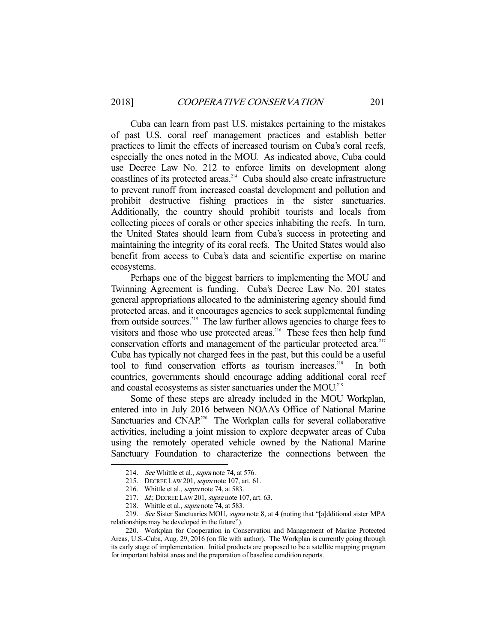Cuba can learn from past U.S. mistakes pertaining to the mistakes of past U.S. coral reef management practices and establish better practices to limit the effects of increased tourism on Cuba's coral reefs, especially the ones noted in the MOU. As indicated above, Cuba could use Decree Law No. 212 to enforce limits on development along coastlines of its protected areas.<sup>214</sup> Cuba should also create infrastructure to prevent runoff from increased coastal development and pollution and prohibit destructive fishing practices in the sister sanctuaries. Additionally, the country should prohibit tourists and locals from collecting pieces of corals or other species inhabiting the reefs. In turn, the United States should learn from Cuba's success in protecting and maintaining the integrity of its coral reefs. The United States would also benefit from access to Cuba's data and scientific expertise on marine ecosystems.

 Perhaps one of the biggest barriers to implementing the MOU and Twinning Agreement is funding. Cuba's Decree Law No. 201 states general appropriations allocated to the administering agency should fund protected areas, and it encourages agencies to seek supplemental funding from outside sources.<sup>215</sup> The law further allows agencies to charge fees to visitors and those who use protected areas.<sup>216</sup> These fees then help fund conservation efforts and management of the particular protected area.<sup>217</sup> Cuba has typically not charged fees in the past, but this could be a useful tool to fund conservation efforts as tourism increases.<sup>218</sup> In both countries, governments should encourage adding additional coral reef and coastal ecosystems as sister sanctuaries under the MOU.<sup>219</sup>

 Some of these steps are already included in the MOU Workplan, entered into in July 2016 between NOAA's Office of National Marine Sanctuaries and CNAP.<sup>220</sup> The Workplan calls for several collaborative activities, including a joint mission to explore deepwater areas of Cuba using the remotely operated vehicle owned by the National Marine Sanctuary Foundation to characterize the connections between the

<sup>214.</sup> See Whittle et al., supra note 74, at 576.

 <sup>215.</sup> DECREE LAW 201, supra note 107, art. 61.

<sup>216.</sup> Whittle et al., *supra* note 74, at 583.

<sup>217.</sup> *Id.*; DECREE LAW 201, *supra* note 107, art. 63.

<sup>218.</sup> Whittle et al., *supra* note 74, at 583.

<sup>219.</sup> See Sister Sanctuaries MOU, supra note 8, at 4 (noting that "[a]dditional sister MPA relationships may be developed in the future").

 <sup>220.</sup> Workplan for Cooperation in Conservation and Management of Marine Protected Areas, U.S.-Cuba, Aug. 29, 2016 (on file with author). The Workplan is currently going through its early stage of implementation. Initial products are proposed to be a satellite mapping program for important habitat areas and the preparation of baseline condition reports.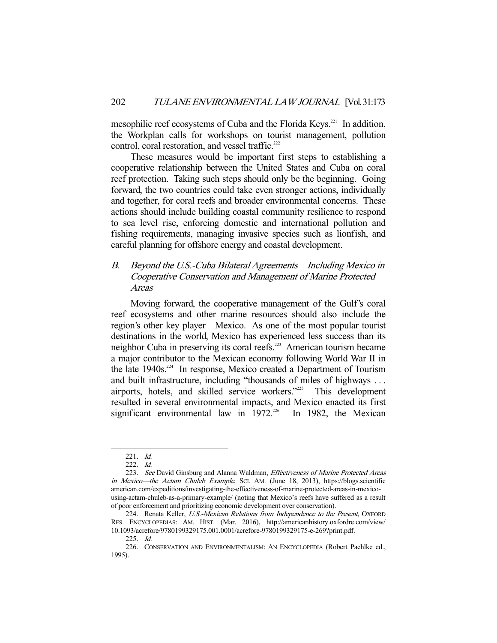mesophilic reef ecosystems of Cuba and the Florida Keys.<sup>221</sup> In addition, the Workplan calls for workshops on tourist management, pollution control, coral restoration, and vessel traffic.<sup>222</sup>

 These measures would be important first steps to establishing a cooperative relationship between the United States and Cuba on coral reef protection. Taking such steps should only be the beginning. Going forward, the two countries could take even stronger actions, individually and together, for coral reefs and broader environmental concerns. These actions should include building coastal community resilience to respond to sea level rise, enforcing domestic and international pollution and fishing requirements, managing invasive species such as lionfish, and careful planning for offshore energy and coastal development.

# B. Beyond the U.S.-Cuba Bilateral Agreements—Including Mexico in Cooperative Conservation and Management of Marine Protected Areas

 Moving forward, the cooperative management of the Gulf's coral reef ecosystems and other marine resources should also include the region's other key player—Mexico. As one of the most popular tourist destinations in the world, Mexico has experienced less success than its neighbor Cuba in preserving its coral reefs.<sup>223</sup> American tourism became a major contributor to the Mexican economy following World War II in the late  $1940s$ <sup>224</sup> In response, Mexico created a Department of Tourism and built infrastructure, including "thousands of miles of highways . . . airports, hotels, and skilled service workers."225 This development resulted in several environmental impacts, and Mexico enacted its first significant environmental law in  $1972^{226}$  In 1982, the Mexican

 <sup>221.</sup> Id.

 <sup>222.</sup> Id.

<sup>223.</sup> See David Ginsburg and Alanna Waldman, Effectiveness of Marine Protected Areas in Mexico—the Actam Chuleb Example, SCI. AM. (June 18, 2013), https://blogs.scientific american.com/expeditions/investigating-the-effectiveness-of-marine-protected-areas-in-mexicousing-actam-chuleb-as-a-primary-example/ (noting that Mexico's reefs have suffered as a result of poor enforcement and prioritizing economic development over conservation).

<sup>224.</sup> Renata Keller, U.S.-Mexican Relations from Independence to the Present, OXFORD RES. ENCYCLOPEDIAS: AM. HIST. (Mar. 2016), http://americanhistory.oxfordre.com/view/ 10.1093/acrefore/9780199329175.001.0001/acrefore-9780199329175-e-269?print.pdf.

 <sup>225.</sup> Id.

 <sup>226.</sup> CONSERVATION AND ENVIRONMENTALISM: AN ENCYCLOPEDIA (Robert Paehlke ed., 1995).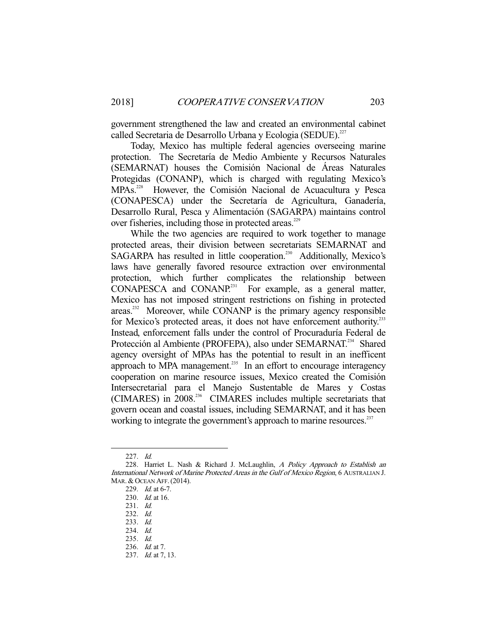government strengthened the law and created an environmental cabinet called Secretaria de Desarrollo Urbana y Ecologia (SEDUE).<sup>227</sup>

 Today, Mexico has multiple federal agencies overseeing marine protection. The Secretaría de Medio Ambiente y Recursos Naturales (SEMARNAT) houses the Comisión Nacional de Áreas Naturales Protegidas (CONANP), which is charged with regulating Mexico's MPAs.<sup>228</sup> However, the Comisión Nacional de Acuacultura y Pesca (CONAPESCA) under the Secretaría de Agricultura, Ganadería, Desarrollo Rural, Pesca y Alimentación (SAGARPA) maintains control over fisheries, including those in protected areas.<sup>229</sup>

 While the two agencies are required to work together to manage protected areas, their division between secretariats SEMARNAT and SAGARPA has resulted in little cooperation.<sup>230</sup> Additionally, Mexico's laws have generally favored resource extraction over environmental protection, which further complicates the relationship between  $CONAPESCA$  and  $CONANP<sup>231</sup>$  For example, as a general matter, Mexico has not imposed stringent restrictions on fishing in protected areas.<sup>232</sup> Moreover, while CONANP is the primary agency responsible for Mexico's protected areas, it does not have enforcement authority.<sup>233</sup> Instead, enforcement falls under the control of Procuraduría Federal de Protección al Ambiente (PROFEPA), also under SEMARNAT.<sup>234</sup> Shared agency oversight of MPAs has the potential to result in an inefficent approach to MPA management.<sup>235</sup> In an effort to encourage interagency cooperation on marine resource issues, Mexico created the Comisión Intersecretarial para el Manejo Sustentable de Mares y Costas (CIMARES) in 2008.236 CIMARES includes multiple secretariats that govern ocean and coastal issues, including SEMARNAT, and it has been working to integrate the government's approach to marine resources.<sup>237</sup>

 <sup>227.</sup> Id.

<sup>228.</sup> Harriet L. Nash & Richard J. McLaughlin, A Policy Approach to Establish an International Network of Marine Protected Areas in the Gulf of Mexico Region, 6 AUSTRALIAN J. MAR. & OCEAN AFF.(2014).

 <sup>229.</sup> Id. at 6-7.

<sup>230.</sup> *Id.* at 16.

 <sup>231.</sup> Id.

 <sup>232.</sup> Id.

 <sup>233.</sup> Id.

 <sup>234.</sup> Id.

 <sup>235.</sup> Id.

 <sup>236.</sup> Id. at 7.

<sup>237.</sup> *Id.* at 7, 13.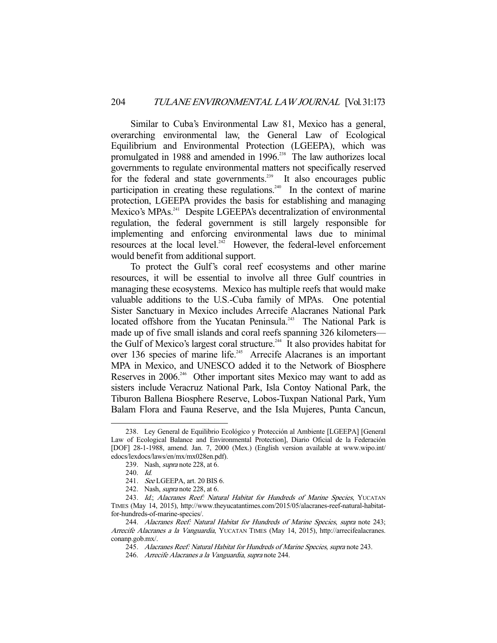Similar to Cuba's Environmental Law 81, Mexico has a general, overarching environmental law, the General Law of Ecological Equilibrium and Environmental Protection (LGEEPA), which was promulgated in 1988 and amended in 1996.<sup>238</sup> The law authorizes local governments to regulate environmental matters not specifically reserved for the federal and state governments.<sup>239</sup> It also encourages public participation in creating these regulations.<sup>240</sup> In the context of marine protection, LGEEPA provides the basis for establishing and managing Mexico's MPAs.<sup>241</sup> Despite LGEEPA's decentralization of environmental regulation, the federal government is still largely responsible for implementing and enforcing environmental laws due to minimal resources at the local level.<sup>242</sup> However, the federal-level enforcement would benefit from additional support.

 To protect the Gulf's coral reef ecosystems and other marine resources, it will be essential to involve all three Gulf countries in managing these ecosystems. Mexico has multiple reefs that would make valuable additions to the U.S.-Cuba family of MPAs. One potential Sister Sanctuary in Mexico includes Arrecife Alacranes National Park located offshore from the Yucatan Peninsula.<sup>243</sup> The National Park is made up of five small islands and coral reefs spanning 326 kilometers the Gulf of Mexico's largest coral structure.<sup>244</sup> It also provides habitat for over 136 species of marine life.<sup>245</sup> Arrecife Alacranes is an important MPA in Mexico, and UNESCO added it to the Network of Biosphere Reserves in 2006.<sup>246</sup> Other important sites Mexico may want to add as sisters include Veracruz National Park, Isla Contoy National Park, the Tiburon Ballena Biosphere Reserve, Lobos-Tuxpan National Park, Yum Balam Flora and Fauna Reserve, and the Isla Mujeres, Punta Cancun,

 <sup>238.</sup> Ley General de Equilibrio Ecológico y Protección al Ambiente [LGEEPA] [General Law of Ecological Balance and Environmental Protection], Diario Oficial de la Federación [DOF] 28-1-1988, amend. Jan. 7, 2000 (Mex.) (English version available at www.wipo.int/ edocs/lexdocs/laws/en/mx/mx028en.pdf).

 <sup>239.</sup> Nash, supra note 228, at 6.

 <sup>240.</sup> Id.

 <sup>241.</sup> See LGEEPA, art. 20 BIS 6.

<sup>242.</sup> Nash, *supra* note 228, at 6.

 <sup>243.</sup> Id.; Alacranes Reef: Natural Habitat for Hundreds of Marine Species, YUCATAN TIMES (May 14, 2015), http://www.theyucatantimes.com/2015/05/alacranes-reef-natural-habitatfor-hundreds-of-marine-species/.

 <sup>244.</sup> Alacranes Reef: Natural Habitat for Hundreds of Marine Species, supra note 243; Arrecife Alacranes a la Vanguardia, YUCATAN TIMES (May 14, 2015), http://arrecifealacranes. conanp.gob.mx/.

 <sup>245.</sup> Alacranes Reef: Natural Habitat for Hundreds of Marine Species, supra note 243.

 <sup>246.</sup> Arrecife Alacranes a la Vanguardia, supra note 244.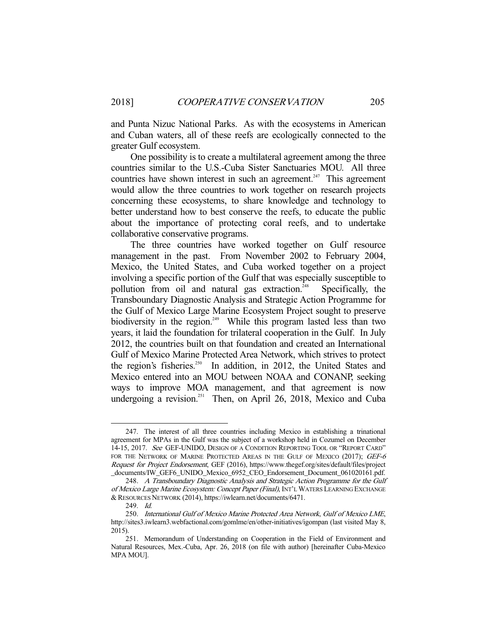and Punta Nizuc National Parks. As with the ecosystems in American and Cuban waters, all of these reefs are ecologically connected to the greater Gulf ecosystem.

 One possibility is to create a multilateral agreement among the three countries similar to the U.S.-Cuba Sister Sanctuaries MOU. All three countries have shown interest in such an agreement.<sup>247</sup> This agreement would allow the three countries to work together on research projects concerning these ecosystems, to share knowledge and technology to better understand how to best conserve the reefs, to educate the public about the importance of protecting coral reefs, and to undertake collaborative conservative programs.

 The three countries have worked together on Gulf resource management in the past. From November 2002 to February 2004, Mexico, the United States, and Cuba worked together on a project involving a specific portion of the Gulf that was especially susceptible to pollution from oil and natural gas extraction.<sup>248</sup> Specifically, the Transboundary Diagnostic Analysis and Strategic Action Programme for the Gulf of Mexico Large Marine Ecosystem Project sought to preserve biodiversity in the region.<sup>249</sup> While this program lasted less than two years, it laid the foundation for trilateral cooperation in the Gulf. In July 2012, the countries built on that foundation and created an International Gulf of Mexico Marine Protected Area Network, which strives to protect the region's fisheries.<sup>250</sup> In addition, in 2012, the United States and Mexico entered into an MOU between NOAA and CONANP, seeking ways to improve MOA management, and that agreement is now undergoing a revision.<sup>251</sup> Then, on April 26, 2018, Mexico and Cuba

 <sup>247.</sup> The interest of all three countries including Mexico in establishing a trinational agreement for MPAs in the Gulf was the subject of a workshop held in Cozumel on December 14-15, 2017. See GEF-UNIDO, DESIGN OF A CONDITION REPORTING TOOL OR "REPORT CARD" FOR THE NETWORK OF MARINE PROTECTED AREAS IN THE GULF OF MEXICO (2017); GEF-6 Request for Project Endorsement, GEF (2016), https://www.thegef.org/sites/default/files/project \_documents/IW\_GEF6\_UNIDO\_Mexico\_6952\_CEO\_Endorsement\_Document\_061020161.pdf.

 <sup>248.</sup> A Transboundary Diagnostic Analysis and Strategic Action Programme for the Gulf of Mexico Large Marine Ecosystem: Concept Paper (Final), INT'L WATERS LEARNING EXCHANGE &RESOURCES NETWORK (2014), https://iwlearn.net/documents/6471.

 <sup>249.</sup> Id.

 <sup>250.</sup> International Gulf of Mexico Marine Protected Area Network, Gulf of Mexico LME, http://sites3.iwlearn3.webfactional.com/gomlme/en/other-initiatives/igompan (last visited May 8, 2015).

 <sup>251.</sup> Memorandum of Understanding on Cooperation in the Field of Environment and Natural Resources, Mex.-Cuba, Apr. 26, 2018 (on file with author) [hereinafter Cuba-Mexico MPA MOU].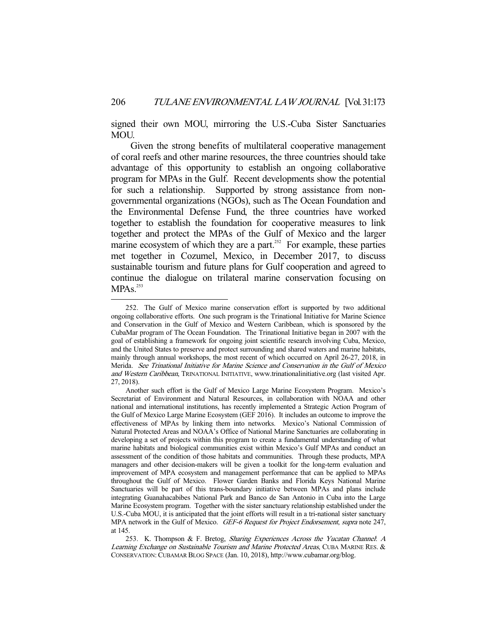signed their own MOU, mirroring the U.S.-Cuba Sister Sanctuaries MOU.

 Given the strong benefits of multilateral cooperative management of coral reefs and other marine resources, the three countries should take advantage of this opportunity to establish an ongoing collaborative program for MPAs in the Gulf. Recent developments show the potential for such a relationship. Supported by strong assistance from nongovernmental organizations (NGOs), such as The Ocean Foundation and the Environmental Defense Fund, the three countries have worked together to establish the foundation for cooperative measures to link together and protect the MPAs of the Gulf of Mexico and the larger marine ecosystem of which they are a part.<sup>252</sup> For example, these parties met together in Cozumel, Mexico, in December 2017, to discuss sustainable tourism and future plans for Gulf cooperation and agreed to continue the dialogue on trilateral marine conservation focusing on  $MPAs.<sup>253</sup>$ 

 <sup>252.</sup> The Gulf of Mexico marine conservation effort is supported by two additional ongoing collaborative efforts. One such program is the Trinational Initiative for Marine Science and Conservation in the Gulf of Mexico and Western Caribbean, which is sponsored by the CubaMar program of The Ocean Foundation. The Trinational Initiative began in 2007 with the goal of establishing a framework for ongoing joint scientific research involving Cuba, Mexico, and the United States to preserve and protect surrounding and shared waters and marine habitats, mainly through annual workshops, the most recent of which occurred on April 26-27, 2018, in Merida. See Trinational Initiative for Marine Science and Conservation in the Gulf of Mexico and Western Caribbean, TRINATIONAL INITIATIVE, www.trinationalinitiative.org (last visited Apr. 27, 2018).

Another such effort is the Gulf of Mexico Large Marine Ecosystem Program. Mexico's Secretariat of Environment and Natural Resources, in collaboration with NOAA and other national and international institutions, has recently implemented a Strategic Action Program of the Gulf of Mexico Large Marine Ecosystem (GEF 2016). It includes an outcome to improve the effectiveness of MPAs by linking them into networks. Mexico's National Commission of Natural Protected Areas and NOAA's Office of National Marine Sanctuaries are collaborating in developing a set of projects within this program to create a fundamental understanding of what marine habitats and biological communities exist within Mexico's Gulf MPAs and conduct an assessment of the condition of those habitats and communities. Through these products, MPA managers and other decision-makers will be given a toolkit for the long-term evaluation and improvement of MPA ecosystem and management performance that can be applied to MPAs throughout the Gulf of Mexico. Flower Garden Banks and Florida Keys National Marine Sanctuaries will be part of this trans-boundary initiative between MPAs and plans include integrating Guanahacabibes National Park and Banco de San Antonio in Cuba into the Large Marine Ecosystem program. Together with the sister sanctuary relationship established under the U.S.-Cuba MOU, it is anticipated that the joint efforts will result in a tri-national sister sanctuary MPA network in the Gulf of Mexico. GEF-6 Request for Project Endorsement, supra note 247, at 145.

 <sup>253.</sup> K. Thompson & F. Bretog, Sharing Experiences Across the Yucatan Channel: <sup>A</sup> Learning Exchange on Sustainable Tourism and Marine Protected Areas, CUBA MARINE RES. & CONSERVATION:CUBAMAR BLOG SPACE (Jan. 10, 2018), http://www.cubamar.org/blog.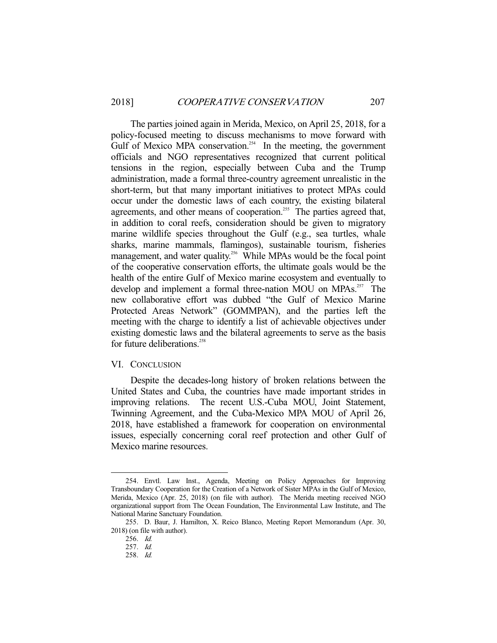The parties joined again in Merida, Mexico, on April 25, 2018, for a policy-focused meeting to discuss mechanisms to move forward with Gulf of Mexico MPA conservation.<sup>254</sup> In the meeting, the government officials and NGO representatives recognized that current political tensions in the region, especially between Cuba and the Trump administration, made a formal three-country agreement unrealistic in the short-term, but that many important initiatives to protect MPAs could occur under the domestic laws of each country, the existing bilateral agreements, and other means of cooperation.<sup>255</sup> The parties agreed that, in addition to coral reefs, consideration should be given to migratory marine wildlife species throughout the Gulf (e.g., sea turtles, whale sharks, marine mammals, flamingos), sustainable tourism, fisheries management, and water quality.<sup>256</sup> While MPAs would be the focal point of the cooperative conservation efforts, the ultimate goals would be the health of the entire Gulf of Mexico marine ecosystem and eventually to develop and implement a formal three-nation MOU on MPAs.<sup>257</sup> The new collaborative effort was dubbed "the Gulf of Mexico Marine Protected Areas Network" (GOMMPAN), and the parties left the meeting with the charge to identify a list of achievable objectives under existing domestic laws and the bilateral agreements to serve as the basis for future deliberations.<sup>258</sup>

#### VI. CONCLUSION

 Despite the decades-long history of broken relations between the United States and Cuba, the countries have made important strides in improving relations. The recent U.S.-Cuba MOU, Joint Statement, Twinning Agreement, and the Cuba-Mexico MPA MOU of April 26, 2018, have established a framework for cooperation on environmental issues, especially concerning coral reef protection and other Gulf of Mexico marine resources.

 <sup>254.</sup> Envtl. Law Inst., Agenda, Meeting on Policy Approaches for Improving Transboundary Cooperation for the Creation of a Network of Sister MPAs in the Gulf of Mexico, Merida, Mexico (Apr. 25, 2018) (on file with author). The Merida meeting received NGO organizational support from The Ocean Foundation, The Environmental Law Institute, and The National Marine Sanctuary Foundation.

 <sup>255.</sup> D. Baur, J. Hamilton, X. Reico Blanco, Meeting Report Memorandum (Apr. 30, 2018) (on file with author).

 <sup>256.</sup> Id.

 <sup>257.</sup> Id.

 <sup>258.</sup> Id.